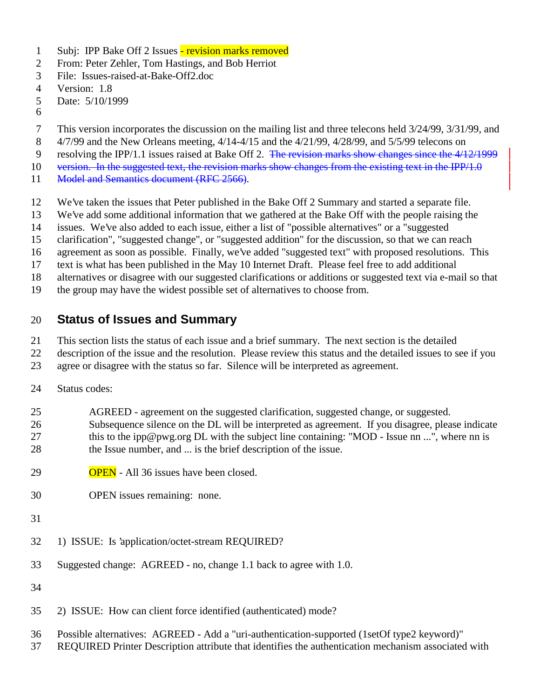- Subj: IPP Bake Off 2 Issues revision marks removed
- From: Peter Zehler, Tom Hastings, and Bob Herriot
- File: Issues-raised-at-Bake-Off2.doc
- Version: 1.8
- Date: 5/10/1999
- 
- This version incorporates the discussion on the mailing list and three telecons held 3/24/99, 3/31/99, and
- 4/7/99 and the New Orleans meeting, 4/14-4/15 and the 4/21/99, 4/28/99, and 5/5/99 telecons on
- resolving the IPP/1.1 issues raised at Bake Off 2. The revision marks show changes since the 4/12/1999
- version. In the suggested text, the revision marks show changes from the existing text in the IPP/1.0
- 11 Model and Semantics document (RFC 2566).
- We've taken the issues that Peter published in the Bake Off 2 Summary and started a separate file.
- We've add some additional information that we gathered at the Bake Off with the people raising the
- issues. We've also added to each issue, either a list of "possible alternatives" or a "suggested
- clarification", "suggested change", or "suggested addition" for the discussion, so that we can reach
- agreement as soon as possible. Finally, we've added "suggested text" with proposed resolutions. This
- text is what has been published in the May 10 Internet Draft. Please feel free to add additional
- alternatives or disagree with our suggested clarifications or additions or suggested text via e-mail so that
- the group may have the widest possible set of alternatives to choose from.

## **Status of Issues and Summary**

- This section lists the status of each issue and a brief summary. The next section is the detailed
- description of the issue and the resolution. Please review this status and the detailed issues to see if you
- agree or disagree with the status so far. Silence will be interpreted as agreement.
- Status codes:
- AGREED agreement on the suggested clarification, suggested change, or suggested. Subsequence silence on the DL will be interpreted as agreement. If you disagree, please indicate 27 this to the ipp@pwg.org DL with the subject line containing: "MOD - Issue nn ...", where nn is 28 the Issue number, and ... is the brief description of the issue.
- OPEN All 36 issues have been closed.
- OPEN issues remaining: none.
- 
- 1) ISSUE: Is 'application/octet-stream REQUIRED?
- Suggested change: AGREED no, change 1.1 back to agree with 1.0.
- 
- 2) ISSUE: How can client force identified (authenticated) mode?
- Possible alternatives: AGREED Add a "uri-authentication-supported (1setOf type2 keyword)"
- REQUIRED Printer Description attribute that identifies the authentication mechanism associated with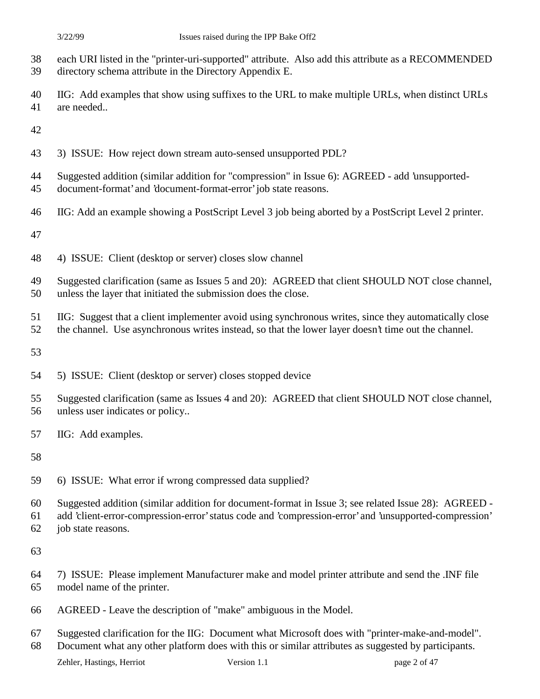- each URI listed in the "printer-uri-supported" attribute. Also add this attribute as a RECOMMENDED directory schema attribute in the Directory Appendix E.
- IIG: Add examples that show using suffixes to the URL to make multiple URLs, when distinct URLs are needed..
- 
- 3) ISSUE: How reject down stream auto-sensed unsupported PDL?
- Suggested addition (similar addition for "compression" in Issue 6): AGREED add 'unsupported-
- document-format' and 'document-format-error' job state reasons.
- IIG: Add an example showing a PostScript Level 3 job being aborted by a PostScript Level 2 printer.

- 4) ISSUE: Client (desktop or server) closes slow channel
- Suggested clarification (same as Issues 5 and 20): AGREED that client SHOULD NOT close channel, unless the layer that initiated the submission does the close.
- IIG: Suggest that a client implementer avoid using synchronous writes, since they automatically close
- the channel. Use asynchronous writes instead, so that the lower layer doesn't time out the channel.
- 
- 5) ISSUE: Client (desktop or server) closes stopped device
- Suggested clarification (same as Issues 4 and 20): AGREED that client SHOULD NOT close channel, unless user indicates or policy..
- IIG: Add examples.
- 
- 6) ISSUE: What error if wrong compressed data supplied?
- Suggested addition (similar addition for document-format in Issue 3; see related Issue 28): AGREED -
- add 'client-error-compression-error' status code and 'compression-error' and 'unsupported-compression' job state reasons.
- 
- 7) ISSUE: Please implement Manufacturer make and model printer attribute and send the .INF file model name of the printer.
- AGREED Leave the description of "make" ambiguous in the Model.
- Suggested clarification for the IIG: Document what Microsoft does with "printer-make-and-model". Document what any other platform does with this or similar attributes as suggested by participants.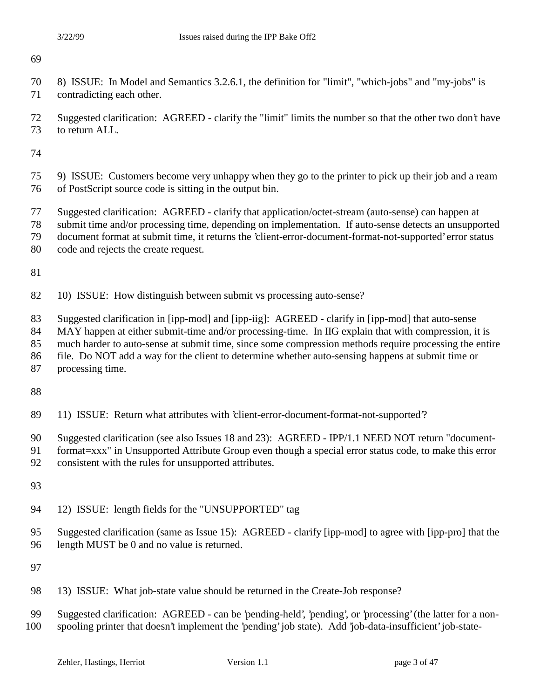8) ISSUE: In Model and Semantics 3.2.6.1, the definition for "limit", "which-jobs" and "my-jobs" is contradicting each other.

 Suggested clarification: AGREED - clarify the "limit" limits the number so that the other two don't have to return ALL.

- 9) ISSUE: Customers become very unhappy when they go to the printer to pick up their job and a ream of PostScript source code is sitting in the output bin.
- Suggested clarification: AGREED clarify that application/octet-stream (auto-sense) can happen at
- submit time and/or processing time, depending on implementation. If auto-sense detects an unsupported
- document format at submit time, it returns the 'client-error-document-format-not-supported' error status
- code and rejects the create request.

- 10) ISSUE: How distinguish between submit vs processing auto-sense?
- Suggested clarification in [ipp-mod] and [ipp-iig]: AGREED clarify in [ipp-mod] that auto-sense
- 84 MAY happen at either submit-time and/or processing-time. In IIG explain that with compression, it is
- much harder to auto-sense at submit time, since some compression methods require processing the entire
- file. Do NOT add a way for the client to determine whether auto-sensing happens at submit time or
- processing time.
- 
- 11) ISSUE: Return what attributes with 'client-error-document-format-not-supported'?
- Suggested clarification (see also Issues 18 and 23): AGREED IPP/1.1 NEED NOT return "document-
- 91 format=xxx" in Unsupported Attribute Group even though a special error status code, to make this error
- consistent with the rules for unsupported attributes.
- 
- 12) ISSUE: length fields for the "UNSUPPORTED" tag
- Suggested clarification (same as Issue 15): AGREED clarify [ipp-mod] to agree with [ipp-pro] that the length MUST be 0 and no value is returned.

- 13) ISSUE: What job-state value should be returned in the Create-Job response?
- Suggested clarification: AGREED can be 'pending-held', 'pending', or 'processing' (the latter for a non-spooling printer that doesn't implement the 'pending' job state). Add 'job-data-insufficient' job-state-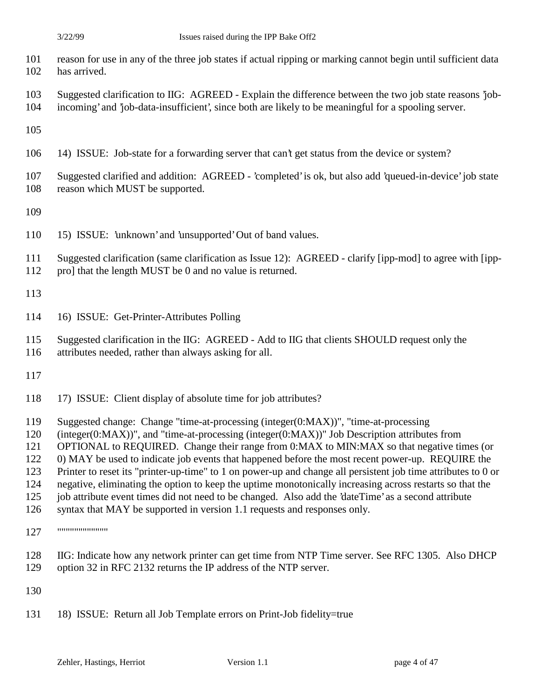- reason for use in any of the three job states if actual ripping or marking cannot begin until sufficient data has arrived.
- Suggested clarification to IIG: AGREED Explain the difference between the two job state reasons 'job-
- incoming' and 'job-data-insufficient', since both are likely to be meaningful for a spooling server.

- 14) ISSUE: Job-state for a forwarding server that can't get status from the device or system?
- Suggested clarified and addition: AGREED 'completed' is ok, but also add 'queued-in-device' job state 108 reason which MUST be supported.

- 15) ISSUE: 'unknown' and 'unsupported' Out of band values.
- Suggested clarification (same clarification as Issue 12): AGREED clarify [ipp-mod] to agree with [ipp-
- pro] that the length MUST be 0 and no value is returned.

- 16) ISSUE: Get-Printer-Attributes Polling
- Suggested clarification in the IIG: AGREED Add to IIG that clients SHOULD request only the
- attributes needed, rather than always asking for all.

- 17) ISSUE: Client display of absolute time for job attributes?
- Suggested change: Change "time-at-processing (integer(0:MAX))", "time-at-processing
- (integer(0:MAX))", and "time-at-processing (integer(0:MAX))" Job Description attributes from
- OPTIONAL to REQUIRED. Change their range from 0:MAX to MIN:MAX so that negative times (or
- 0) MAY be used to indicate job events that happened before the most recent power-up. REQUIRE the
- Printer to reset its "printer-up-time" to 1 on power-up and change all persistent job time attributes to 0 or
- negative, eliminating the option to keep the uptime monotonically increasing across restarts so that the
- job attribute event times did not need to be changed. Also add the 'dateTime' as a second attribute
- syntax that MAY be supported in version 1.1 requests and responses only.
- """"""""""""
- IIG: Indicate how any network printer can get time from NTP Time server. See RFC 1305. Also DHCP option 32 in RFC 2132 returns the IP address of the NTP server.
- 
- 18) ISSUE: Return all Job Template errors on Print-Job fidelity=true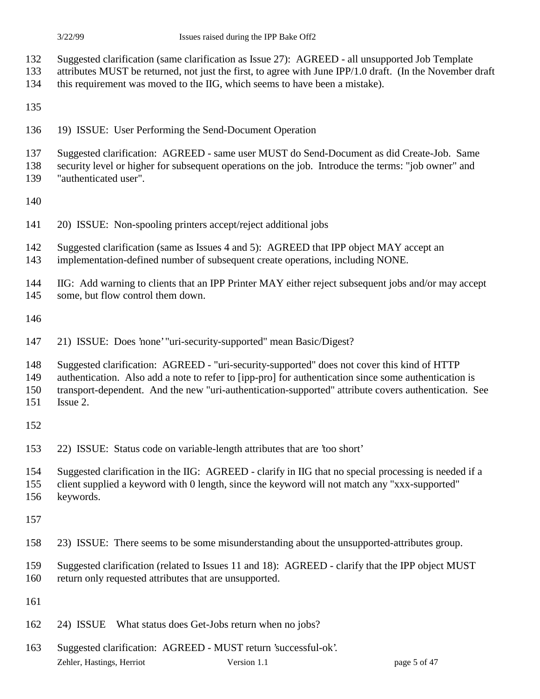- Suggested clarification (same clarification as Issue 27): AGREED all unsupported Job Template
- attributes MUST be returned, not just the first, to agree with June IPP/1.0 draft. (In the November draft
- this requirement was moved to the IIG, which seems to have been a mistake).

- 19) ISSUE: User Performing the Send-Document Operation
- Suggested clarification: AGREED same user MUST do Send-Document as did Create-Job. Same
- security level or higher for subsequent operations on the job. Introduce the terms: "job owner" and
- "authenticated user".
- 
- 20) ISSUE: Non-spooling printers accept/reject additional jobs
- Suggested clarification (same as Issues 4 and 5): AGREED that IPP object MAY accept an
- implementation-defined number of subsequent create operations, including NONE.
- IIG: Add warning to clients that an IPP Printer MAY either reject subsequent jobs and/or may accept
- some, but flow control them down.

- 21) ISSUE: Does 'none' "uri-security-supported" mean Basic/Digest?
- Suggested clarification: AGREED "uri-security-supported" does not cover this kind of HTTP
- authentication. Also add a note to refer to [ipp-pro] for authentication since some authentication is
- transport-dependent. And the new "uri-authentication-supported" attribute covers authentication. See
- Issue 2.

- 22) ISSUE: Status code on variable-length attributes that are 'too short'
- Suggested clarification in the IIG: AGREED clarify in IIG that no special processing is needed if a
- client supplied a keyword with 0 length, since the keyword will not match any "xxx-supported" keywords.

- 23) ISSUE: There seems to be some misunderstanding about the unsupported-attributes group.
- Suggested clarification (related to Issues 11 and 18): AGREED clarify that the IPP object MUST
- return only requested attributes that are unsupported.
- 
- 24) ISSUE What status does Get-Jobs return when no jobs?
- Zehler, Hastings, Herriot Version 1.1 page 5 of 47 Suggested clarification: AGREED - MUST return 'successful-ok'.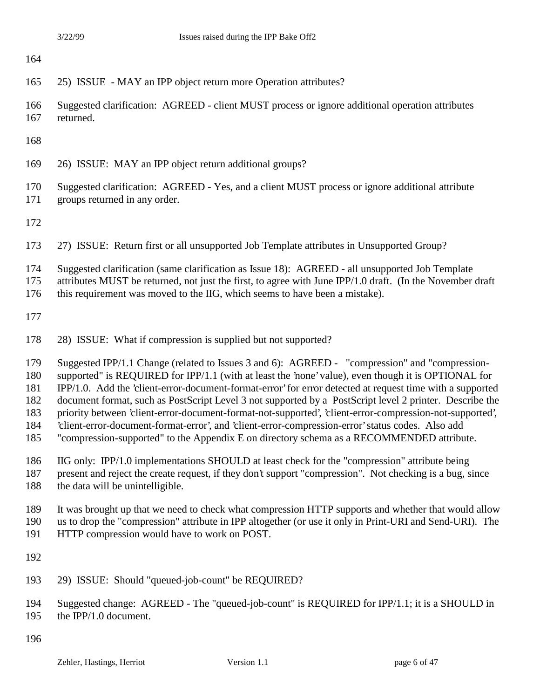| 164                                           |                                                                                                                                                                                                                                                                                                                                                                                                                                                                                                                                                                                                                                                                                                                                             |
|-----------------------------------------------|---------------------------------------------------------------------------------------------------------------------------------------------------------------------------------------------------------------------------------------------------------------------------------------------------------------------------------------------------------------------------------------------------------------------------------------------------------------------------------------------------------------------------------------------------------------------------------------------------------------------------------------------------------------------------------------------------------------------------------------------|
| 165                                           | 25) ISSUE - MAY an IPP object return more Operation attributes?                                                                                                                                                                                                                                                                                                                                                                                                                                                                                                                                                                                                                                                                             |
| 166<br>167                                    | Suggested clarification: AGREED - client MUST process or ignore additional operation attributes<br>returned.                                                                                                                                                                                                                                                                                                                                                                                                                                                                                                                                                                                                                                |
| 168                                           |                                                                                                                                                                                                                                                                                                                                                                                                                                                                                                                                                                                                                                                                                                                                             |
| 169                                           | 26) ISSUE: MAY an IPP object return additional groups?                                                                                                                                                                                                                                                                                                                                                                                                                                                                                                                                                                                                                                                                                      |
| 170<br>171                                    | Suggested clarification: AGREED - Yes, and a client MUST process or ignore additional attribute<br>groups returned in any order.                                                                                                                                                                                                                                                                                                                                                                                                                                                                                                                                                                                                            |
| 172                                           |                                                                                                                                                                                                                                                                                                                                                                                                                                                                                                                                                                                                                                                                                                                                             |
| 173                                           | 27) ISSUE: Return first or all unsupported Job Template attributes in Unsupported Group?                                                                                                                                                                                                                                                                                                                                                                                                                                                                                                                                                                                                                                                    |
| 174<br>175<br>176                             | Suggested clarification (same clarification as Issue 18): AGREED - all unsupported Job Template<br>attributes MUST be returned, not just the first, to agree with June IPP/1.0 draft. (In the November draft<br>this requirement was moved to the IIG, which seems to have been a mistake).                                                                                                                                                                                                                                                                                                                                                                                                                                                 |
| 177                                           |                                                                                                                                                                                                                                                                                                                                                                                                                                                                                                                                                                                                                                                                                                                                             |
| 178                                           | 28) ISSUE: What if compression is supplied but not supported?                                                                                                                                                                                                                                                                                                                                                                                                                                                                                                                                                                                                                                                                               |
| 179<br>180<br>181<br>182<br>183<br>184<br>185 | Suggested IPP/1.1 Change (related to Issues 3 and 6): AGREED - "compression" and "compression-<br>supported" is REQUIRED for IPP/1.1 (with at least the 'none' value), even though it is OPTIONAL for<br>IPP/1.0. Add the 'client-error-document-format-error' for error detected at request time with a supported<br>document format, such as PostScript Level 3 not supported by a PostScript level 2 printer. Describe the<br>priority between 'client-error-document-format-not-supported', 'client-error-compression-not-supported',<br>'client-error-document-format-error', and 'client-error-compression-error' status codes. Also add<br>"compression-supported" to the Appendix E on directory schema as a RECOMMENDED attribute. |
| 186<br>187<br>188                             | IIG only: IPP/1.0 implementations SHOULD at least check for the "compression" attribute being<br>present and reject the create request, if they don't support "compression". Not checking is a bug, since<br>the data will be unintelligible.                                                                                                                                                                                                                                                                                                                                                                                                                                                                                               |
| 189<br>190<br>191                             | It was brought up that we need to check what compression HTTP supports and whether that would allow<br>us to drop the "compression" attribute in IPP altogether (or use it only in Print-URI and Send-URI). The<br>HTTP compression would have to work on POST.                                                                                                                                                                                                                                                                                                                                                                                                                                                                             |
| 192                                           |                                                                                                                                                                                                                                                                                                                                                                                                                                                                                                                                                                                                                                                                                                                                             |
| 193                                           | 29) ISSUE: Should "queued-job-count" be REQUIRED?                                                                                                                                                                                                                                                                                                                                                                                                                                                                                                                                                                                                                                                                                           |
| 194<br>195                                    | Suggested change: AGREED - The "queued-job-count" is REQUIRED for IPP/1.1; it is a SHOULD in<br>the IPP/1.0 document.                                                                                                                                                                                                                                                                                                                                                                                                                                                                                                                                                                                                                       |
| 196                                           |                                                                                                                                                                                                                                                                                                                                                                                                                                                                                                                                                                                                                                                                                                                                             |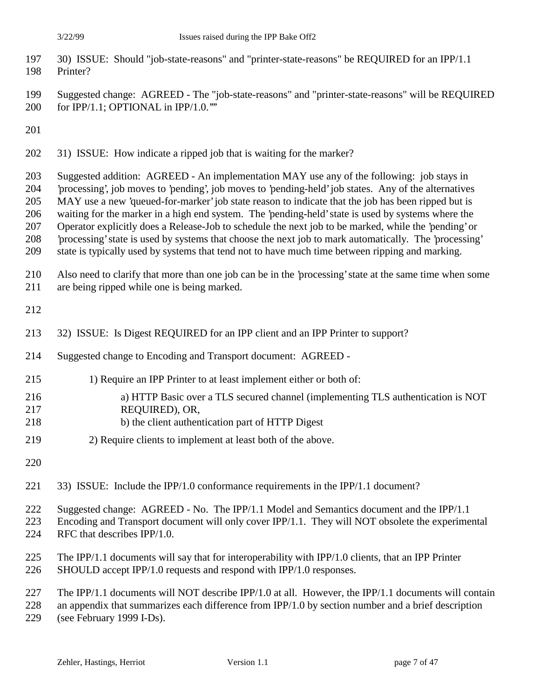- 30) ISSUE: Should "job-state-reasons" and "printer-state-reasons" be REQUIRED for an IPP/1.1 Printer?
- Suggested change: AGREED The "job-state-reasons" and "printer-state-reasons" will be REQUIRED 200 for IPP/1.1; OPTIONAL in IPP/1.0.""

31) ISSUE: How indicate a ripped job that is waiting for the marker?

 Suggested addition: AGREED - An implementation MAY use any of the following: job stays in 'processing', job moves to 'pending', job moves to 'pending-held' job states. Any of the alternatives MAY use a new 'queued-for-marker' job state reason to indicate that the job has been ripped but is waiting for the marker in a high end system. The 'pending-held' state is used by systems where the Operator explicitly does a Release-Job to schedule the next job to be marked, while the 'pending' or 'processing' state is used by systems that choose the next job to mark automatically. The 'processing'

- state is typically used by systems that tend not to have much time between ripping and marking.
- Also need to clarify that more than one job can be in the 'processing' state at the same time when some
- are being ripped while one is being marked.

- 32) ISSUE: Is Digest REQUIRED for an IPP client and an IPP Printer to support?
- Suggested change to Encoding and Transport document: AGREED -
- 215 1) Require an IPP Printer to at least implement either or both of:
- a) HTTP Basic over a TLS secured channel (implementing TLS authentication is NOT
- 217 REQUIRED), OR,
- b) the client authentication part of HTTP Digest
- 2) Require clients to implement at least both of the above.
- 
- 33) ISSUE: Include the IPP/1.0 conformance requirements in the IPP/1.1 document?
- Suggested change: AGREED No. The IPP/1.1 Model and Semantics document and the IPP/1.1
- Encoding and Transport document will only cover IPP/1.1. They will NOT obsolete the experimental
- RFC that describes IPP/1.0.
- The IPP/1.1 documents will say that for interoperability with IPP/1.0 clients, that an IPP Printer
- SHOULD accept IPP/1.0 requests and respond with IPP/1.0 responses.
- The IPP/1.1 documents will NOT describe IPP/1.0 at all. However, the IPP/1.1 documents will contain
- an appendix that summarizes each difference from IPP/1.0 by section number and a brief description (see February 1999 I-Ds).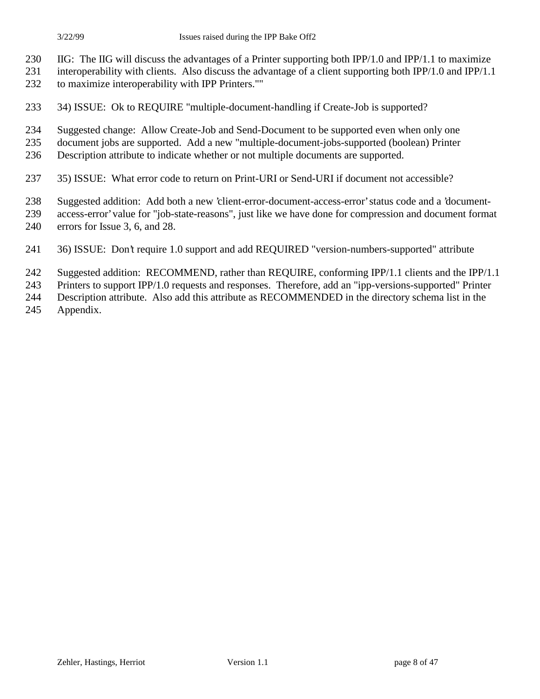- IIG: The IIG will discuss the advantages of a Printer supporting both IPP/1.0 and IPP/1.1 to maximize
- interoperability with clients. Also discuss the advantage of a client supporting both IPP/1.0 and IPP/1.1
- to maximize interoperability with IPP Printers.""
- 34) ISSUE: Ok to REQUIRE "multiple-document-handling if Create-Job is supported?
- Suggested change: Allow Create-Job and Send-Document to be supported even when only one
- document jobs are supported. Add a new "multiple-document-jobs-supported (boolean) Printer
- Description attribute to indicate whether or not multiple documents are supported.
- 35) ISSUE: What error code to return on Print-URI or Send-URI if document not accessible?
- Suggested addition: Add both a new 'client-error-document-access-error' status code and a 'document-
- access-error' value for "job-state-reasons", just like we have done for compression and document format
- errors for Issue 3, 6, and 28.
- 36) ISSUE: Don't require 1.0 support and add REQUIRED "version-numbers-supported" attribute
- Suggested addition: RECOMMEND, rather than REQUIRE, conforming IPP/1.1 clients and the IPP/1.1
- Printers to support IPP/1.0 requests and responses. Therefore, add an "ipp-versions-supported" Printer
- Description attribute. Also add this attribute as RECOMMENDED in the directory schema list in the
- Appendix.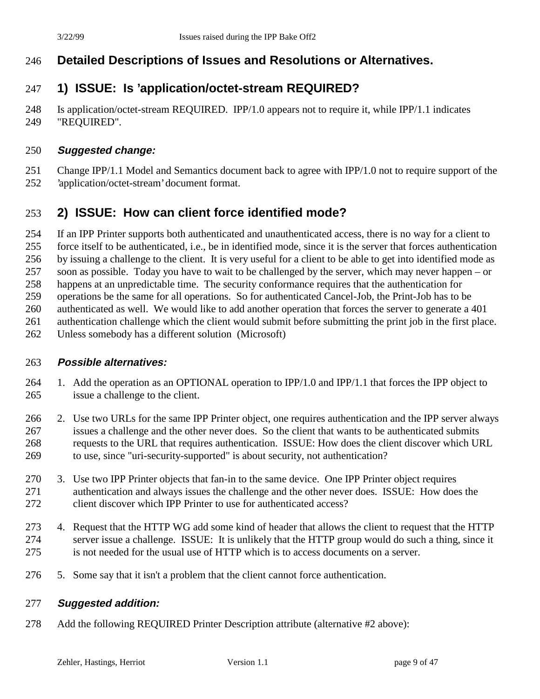## **Detailed Descriptions of Issues and Resolutions or Alternatives.**

## **1) ISSUE: Is 'application/octet-stream REQUIRED?**

 Is application/octet-stream REQUIRED. IPP/1.0 appears not to require it, while IPP/1.1 indicates "REQUIRED".

### **Suggested change:**

Change IPP/1.1 Model and Semantics document back to agree with IPP/1.0 not to require support of the

'application/octet-stream' document format.

## **2) ISSUE: How can client force identified mode?**

If an IPP Printer supports both authenticated and unauthenticated access, there is no way for a client to

force itself to be authenticated, i.e., be in identified mode, since it is the server that forces authentication

by issuing a challenge to the client. It is very useful for a client to be able to get into identified mode as

soon as possible. Today you have to wait to be challenged by the server, which may never happen – or

happens at an unpredictable time. The security conformance requires that the authentication for

operations be the same for all operations. So for authenticated Cancel-Job, the Print-Job has to be

authenticated as well. We would like to add another operation that forces the server to generate a 401

authentication challenge which the client would submit before submitting the print job in the first place.

Unless somebody has a different solution (Microsoft)

### **Possible alternatives:**

- 1. Add the operation as an OPTIONAL operation to IPP/1.0 and IPP/1.1 that forces the IPP object to issue a challenge to the client.
- 2. Use two URLs for the same IPP Printer object, one requires authentication and the IPP server always issues a challenge and the other never does. So the client that wants to be authenticated submits requests to the URL that requires authentication. ISSUE: How does the client discover which URL to use, since "uri-security-supported" is about security, not authentication?
- 3. Use two IPP Printer objects that fan-in to the same device. One IPP Printer object requires authentication and always issues the challenge and the other never does. ISSUE: How does the client discover which IPP Printer to use for authenticated access?
- 4. Request that the HTTP WG add some kind of header that allows the client to request that the HTTP server issue a challenge. ISSUE: It is unlikely that the HTTP group would do such a thing, since it is not needed for the usual use of HTTP which is to access documents on a server.
- 5. Some say that it isn't a problem that the client cannot force authentication.

### **Suggested addition:**

Add the following REQUIRED Printer Description attribute (alternative #2 above):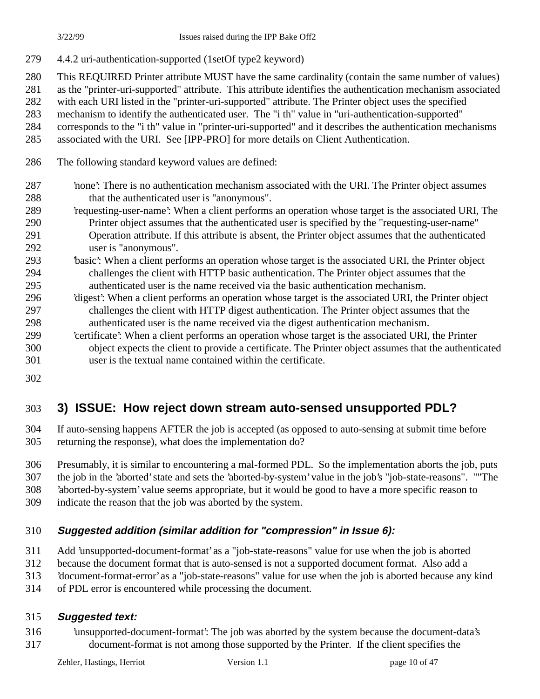4.4.2 uri-authentication-supported (1setOf type2 keyword)

This REQUIRED Printer attribute MUST have the same cardinality (contain the same number of values)

as the "printer-uri-supported" attribute. This attribute identifies the authentication mechanism associated

with each URI listed in the "printer-uri-supported" attribute. The Printer object uses the specified

mechanism to identify the authenticated user. The "i th" value in "uri-authentication-supported"

corresponds to the "i th" value in "printer-uri-supported" and it describes the authentication mechanisms

associated with the URI. See [IPP-PRO] for more details on Client Authentication.

The following standard keyword values are defined:

### 'none': There is no authentication mechanism associated with the URI. The Printer object assumes that the authenticated user is "anonymous".

- 'requesting-user-name': When a client performs an operation whose target is the associated URI, The Printer object assumes that the authenticated user is specified by the "requesting-user-name" Operation attribute. If this attribute is absent, the Printer object assumes that the authenticated user is "anonymous".
- 'basic': When a client performs an operation whose target is the associated URI, the Printer object challenges the client with HTTP basic authentication. The Printer object assumes that the authenticated user is the name received via the basic authentication mechanism.
- 'digest': When a client performs an operation whose target is the associated URI, the Printer object challenges the client with HTTP digest authentication. The Printer object assumes that the authenticated user is the name received via the digest authentication mechanism.
- 'certificate': When a client performs an operation whose target is the associated URI, the Printer object expects the client to provide a certificate. The Printer object assumes that the authenticated user is the textual name contained within the certificate.
- 

## **3) ISSUE: How reject down stream auto-sensed unsupported PDL?**

 If auto-sensing happens AFTER the job is accepted (as opposed to auto-sensing at submit time before returning the response), what does the implementation do?

Presumably, it is similar to encountering a mal-formed PDL. So the implementation aborts the job, puts

the job in the 'aborted' state and sets the 'aborted-by-system' value in the job's "job-state-reasons". ""The

'aborted-by-system' value seems appropriate, but it would be good to have a more specific reason to

indicate the reason that the job was aborted by the system.

## **Suggested addition (similar addition for "compression" in Issue 6):**

Add 'unsupported-document-format' as a "job-state-reasons" value for use when the job is aborted

because the document format that is auto-sensed is not a supported document format. Also add a

'document-format-error' as a "job-state-reasons" value for use when the job is aborted because any kind

of PDL error is encountered while processing the document.

### **Suggested text:**

 'unsupported-document-format': The job was aborted by the system because the document-data's document-format is not among those supported by the Printer. If the client specifies the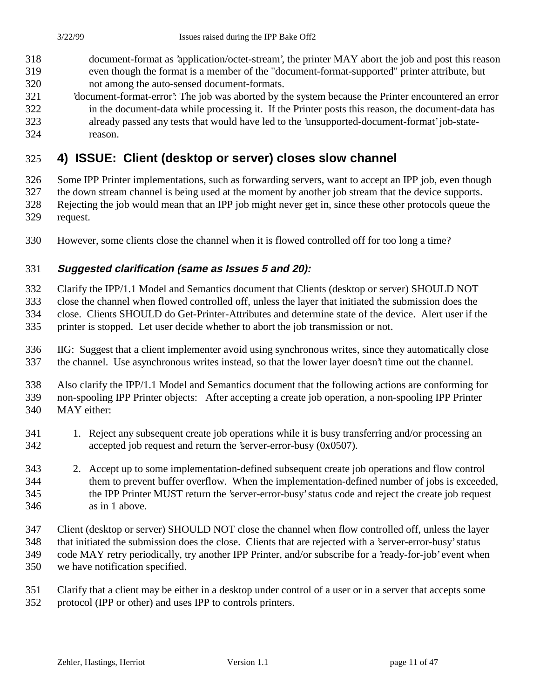- document-format as 'application/octet-stream', the printer MAY abort the job and post this reason even though the format is a member of the "document-format-supported" printer attribute, but
- not among the auto-sensed document-formats.
- 'document-format-error': The job was aborted by the system because the Printer encountered an error in the document-data while processing it. If the Printer posts this reason, the document-data has already passed any tests that would have led to the 'unsupported-document-format' job-state-reason.

## **4) ISSUE: Client (desktop or server) closes slow channel**

Some IPP Printer implementations, such as forwarding servers, want to accept an IPP job, even though

the down stream channel is being used at the moment by another job stream that the device supports.

Rejecting the job would mean that an IPP job might never get in, since these other protocols queue the

- request.
- However, some clients close the channel when it is flowed controlled off for too long a time?

#### **Suggested clarification (same as Issues 5 and 20):**

Clarify the IPP/1.1 Model and Semantics document that Clients (desktop or server) SHOULD NOT

close the channel when flowed controlled off, unless the layer that initiated the submission does the

close. Clients SHOULD do Get-Printer-Attributes and determine state of the device. Alert user if the

printer is stopped. Let user decide whether to abort the job transmission or not.

 IIG: Suggest that a client implementer avoid using synchronous writes, since they automatically close the channel. Use asynchronous writes instead, so that the lower layer doesn't time out the channel.

 Also clarify the IPP/1.1 Model and Semantics document that the following actions are conforming for non-spooling IPP Printer objects: After accepting a create job operation, a non-spooling IPP Printer MAY either:

- 1. Reject any subsequent create job operations while it is busy transferring and/or processing an accepted job request and return the 'server-error-busy (0x0507).
- 2. Accept up to some implementation-defined subsequent create job operations and flow control them to prevent buffer overflow. When the implementation-defined number of jobs is exceeded, the IPP Printer MUST return the 'server-error-busy' status code and reject the create job request as in 1 above.
- Client (desktop or server) SHOULD NOT close the channel when flow controlled off, unless the layer that initiated the submission does the close. Clients that are rejected with a 'server-error-busy' status code MAY retry periodically, try another IPP Printer, and/or subscribe for a 'ready-for-job' event when we have notification specified.
- Clarify that a client may be either in a desktop under control of a user or in a server that accepts some protocol (IPP or other) and uses IPP to controls printers.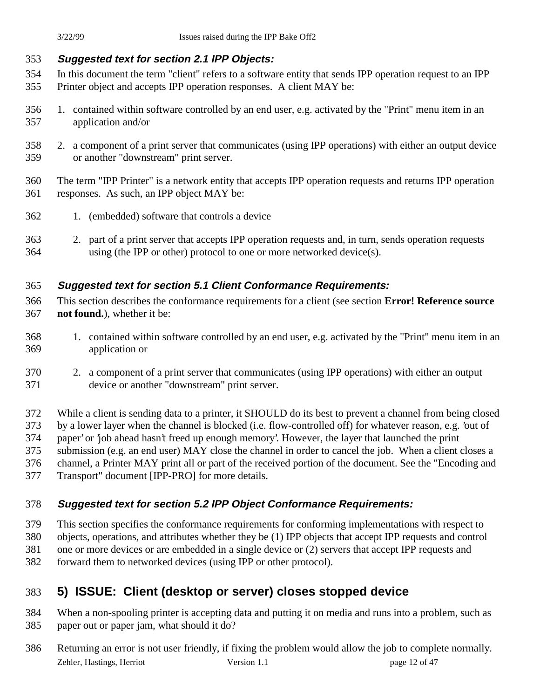#### **Suggested text for section 2.1 IPP Objects:**

- In this document the term "client" refers to a software entity that sends IPP operation request to an IPP Printer object and accepts IPP operation responses. A client MAY be:
- 1. contained within software controlled by an end user, e.g. activated by the "Print" menu item in an application and/or
- 2. a component of a print server that communicates (using IPP operations) with either an output device or another "downstream" print server.
- The term "IPP Printer" is a network entity that accepts IPP operation requests and returns IPP operation responses. As such, an IPP object MAY be:
- 1. (embedded) software that controls a device
- 2. part of a print server that accepts IPP operation requests and, in turn, sends operation requests using (the IPP or other) protocol to one or more networked device(s).

### **Suggested text for section 5.1 Client Conformance Requirements:**

- This section describes the conformance requirements for a client (see section **Error! Reference source not found.**), whether it be:
- 1. contained within software controlled by an end user, e.g. activated by the "Print" menu item in an application or
- 2. a component of a print server that communicates (using IPP operations) with either an output device or another "downstream" print server.
- While a client is sending data to a printer, it SHOULD do its best to prevent a channel from being closed
- by a lower layer when the channel is blocked (i.e. flow-controlled off) for whatever reason, e.g. 'out of paper' or 'job ahead hasn't freed up enough memory'. However, the layer that launched the print
- submission (e.g. an end user) MAY close the channel in order to cancel the job. When a client closes a
- channel, a Printer MAY print all or part of the received portion of the document. See the "Encoding and
- Transport" document [IPP-PRO] for more details.

### **Suggested text for section 5.2 IPP Object Conformance Requirements:**

- This section specifies the conformance requirements for conforming implementations with respect to
- objects, operations, and attributes whether they be (1) IPP objects that accept IPP requests and control
- one or more devices or are embedded in a single device or (2) servers that accept IPP requests and
- forward them to networked devices (using IPP or other protocol).

## **5) ISSUE: Client (desktop or server) closes stopped device**

- When a non-spooling printer is accepting data and putting it on media and runs into a problem, such as paper out or paper jam, what should it do?
- Zehler, Hastings, Herriot Version 1.1 page 12 of 47 Returning an error is not user friendly, if fixing the problem would allow the job to complete normally.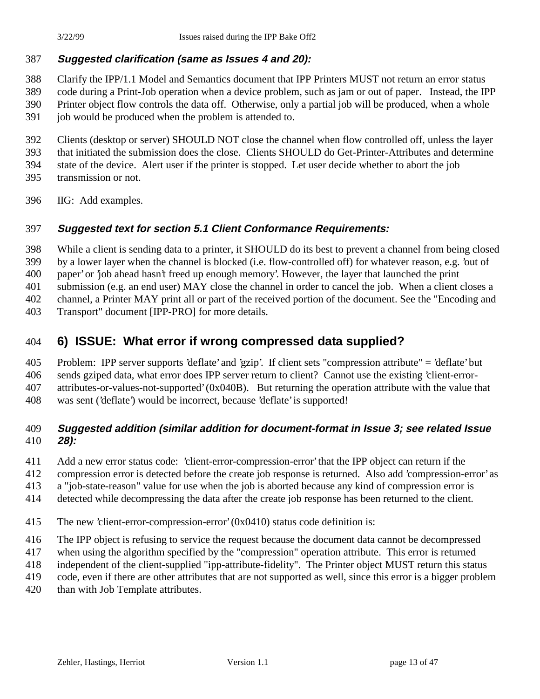#### **Suggested clarification (same as Issues 4 and 20):**

 Clarify the IPP/1.1 Model and Semantics document that IPP Printers MUST not return an error status code during a Print-Job operation when a device problem, such as jam or out of paper. Instead, the IPP Printer object flow controls the data off. Otherwise, only a partial job will be produced, when a whole job would be produced when the problem is attended to.

 Clients (desktop or server) SHOULD NOT close the channel when flow controlled off, unless the layer that initiated the submission does the close. Clients SHOULD do Get-Printer-Attributes and determine state of the device. Alert user if the printer is stopped. Let user decide whether to abort the job

- transmission or not.
- IIG: Add examples.

#### **Suggested text for section 5.1 Client Conformance Requirements:**

While a client is sending data to a printer, it SHOULD do its best to prevent a channel from being closed

by a lower layer when the channel is blocked (i.e. flow-controlled off) for whatever reason, e.g. 'out of

paper' or 'job ahead hasn't freed up enough memory'. However, the layer that launched the print

submission (e.g. an end user) MAY close the channel in order to cancel the job. When a client closes a

channel, a Printer MAY print all or part of the received portion of the document. See the "Encoding and

Transport" document [IPP-PRO] for more details.

### **6) ISSUE: What error if wrong compressed data supplied?**

Problem: IPP server supports 'deflate' and 'gzip'. If client sets "compression attribute" = 'deflate' but

sends gziped data, what error does IPP server return to client? Cannot use the existing 'client-error-

attributes-or-values-not-supported' (0x040B). But returning the operation attribute with the value that

was sent ('deflate') would be incorrect, because 'deflate' is supported!

### **Suggested addition (similar addition for document-format in Issue 3; see related Issue 28):**

- Add a new error status code: 'client-error-compression-error' that the IPP object can return if the
- compression error is detected before the create job response is returned. Also add 'compression-error' as
- a "job-state-reason" value for use when the job is aborted because any kind of compression error is
- detected while decompressing the data after the create job response has been returned to the client.
- The new 'client-error-compression-error' (0x0410) status code definition is:
- The IPP object is refusing to service the request because the document data cannot be decompressed
- when using the algorithm specified by the "compression" operation attribute. This error is returned
- independent of the client-supplied "ipp-attribute-fidelity". The Printer object MUST return this status
- code, even if there are other attributes that are not supported as well, since this error is a bigger problem
- than with Job Template attributes.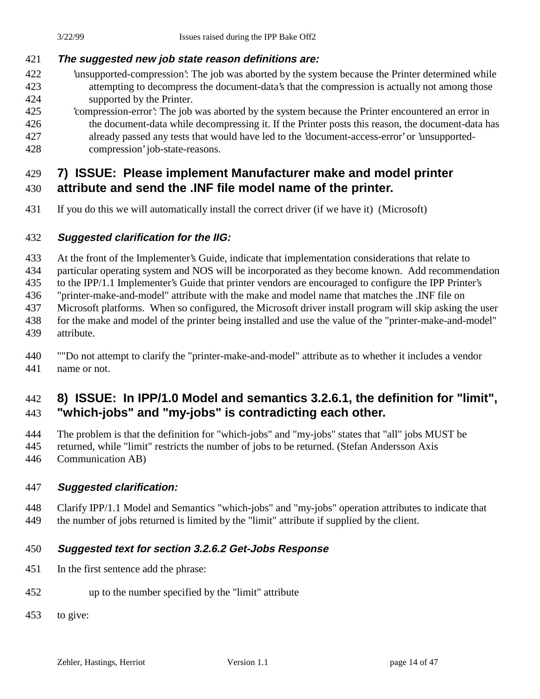### **The suggested new job state reason definitions are:**

- 'unsupported-compression': The job was aborted by the system because the Printer determined while attempting to decompress the document-data's that the compression is actually not among those supported by the Printer.
- 'compression-error': The job was aborted by the system because the Printer encountered an error in the document-data while decompressing it. If the Printer posts this reason, the document-data has already passed any tests that would have led to the 'document-access-error' or 'unsupported-compression' job-state-reasons.

# **7) ISSUE: Please implement Manufacturer make and model printer**

- **attribute and send the .INF file model name of the printer.**
- If you do this we will automatically install the correct driver (if we have it) (Microsoft)

## **Suggested clarification for the IIG:**

At the front of the Implementer's Guide, indicate that implementation considerations that relate to

particular operating system and NOS will be incorporated as they become known. Add recommendation

to the IPP/1.1 Implementer's Guide that printer vendors are encouraged to configure the IPP Printer's

"printer-make-and-model" attribute with the make and model name that matches the .INF file on

Microsoft platforms. When so configured, the Microsoft driver install program will skip asking the user

- for the make and model of the printer being installed and use the value of the "printer-make-and-model"
- attribute.
- ""Do not attempt to clarify the "printer-make-and-model" attribute as to whether it includes a vendor name or not.

## **8) ISSUE: In IPP/1.0 Model and semantics 3.2.6.1, the definition for "limit", "which-jobs" and "my-jobs" is contradicting each other.**

- The problem is that the definition for "which-jobs" and "my-jobs" states that "all" jobs MUST be
- returned, while "limit" restricts the number of jobs to be returned. (Stefan Andersson Axis
- Communication AB)

## **Suggested clarification:**

 Clarify IPP/1.1 Model and Semantics "which-jobs" and "my-jobs" operation attributes to indicate that the number of jobs returned is limited by the "limit" attribute if supplied by the client.

## **Suggested text for section 3.2.6.2 Get-Jobs Response**

- In the first sentence add the phrase:
- up to the number specified by the "limit" attribute
- to give: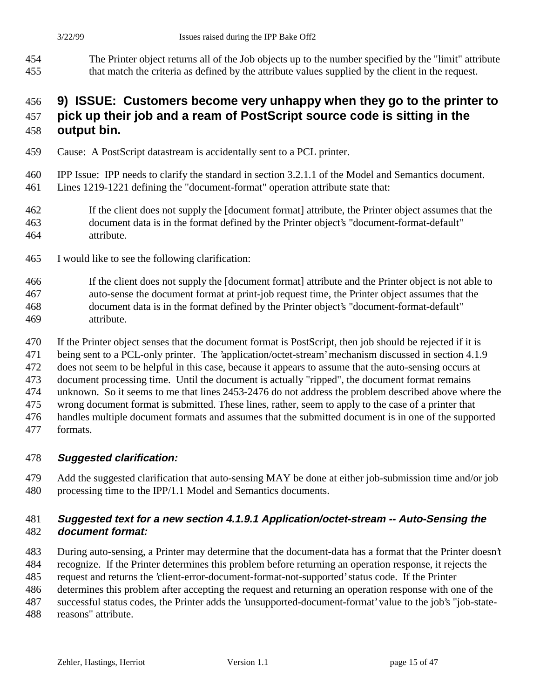The Printer object returns all of the Job objects up to the number specified by the "limit" attribute that match the criteria as defined by the attribute values supplied by the client in the request.

## **9) ISSUE: Customers become very unhappy when they go to the printer to**

## **pick up their job and a ream of PostScript source code is sitting in the output bin.**

- Cause: A PostScript datastream is accidentally sent to a PCL printer.
- IPP Issue: IPP needs to clarify the standard in section 3.2.1.1 of the Model and Semantics document. Lines 1219-1221 defining the "document-format" operation attribute state that:
- If the client does not supply the [document format] attribute, the Printer object assumes that the document data is in the format defined by the Printer object's "document-format-default" attribute.
- I would like to see the following clarification:
- If the client does not supply the [document format] attribute and the Printer object is not able to auto-sense the document format at print-job request time, the Printer object assumes that the document data is in the format defined by the Printer object's "document-format-default" attribute.
- If the Printer object senses that the document format is PostScript, then job should be rejected if it is
- being sent to a PCL-only printer. The 'application/octet-stream' mechanism discussed in section 4.1.9
- does not seem to be helpful in this case, because it appears to assume that the auto-sensing occurs at
- document processing time. Until the document is actually "ripped", the document format remains
- unknown. So it seems to me that lines 2453-2476 do not address the problem described above where the
- wrong document format is submitted. These lines, rather, seem to apply to the case of a printer that
- handles multiple document formats and assumes that the submitted document is in one of the supported
- formats.

## **Suggested clarification:**

 Add the suggested clarification that auto-sensing MAY be done at either job-submission time and/or job processing time to the IPP/1.1 Model and Semantics documents.

### **Suggested text for a new section 4.1.9.1 Application/octet-stream -- Auto-Sensing the document format:**

- During auto-sensing, a Printer may determine that the document-data has a format that the Printer doesn't
- recognize. If the Printer determines this problem before returning an operation response, it rejects the
- request and returns the 'client-error-document-format-not-supported' status code. If the Printer
- determines this problem after accepting the request and returning an operation response with one of the
- successful status codes, the Printer adds the 'unsupported-document-format' value to the job's "job-state-
- reasons" attribute.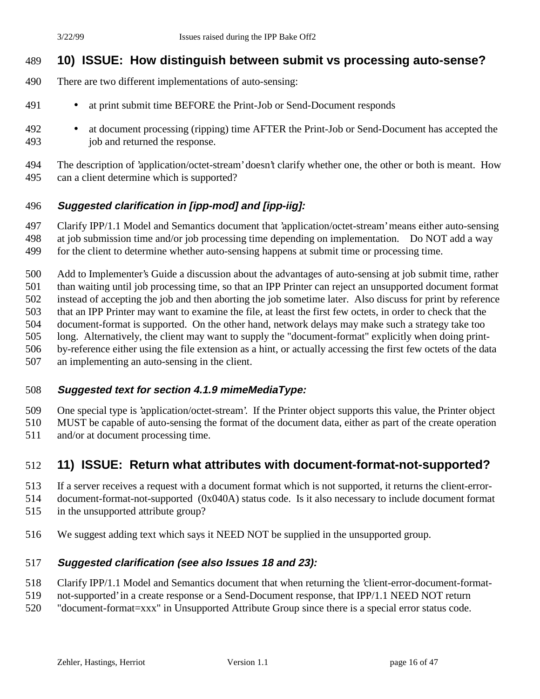### **10) ISSUE: How distinguish between submit vs processing auto-sense?**

- There are two different implementations of auto-sensing:
- at print submit time BEFORE the Print-Job or Send-Document responds
- at document processing (ripping) time AFTER the Print-Job or Send-Document has accepted the job and returned the response.

 The description of 'application/octet-stream' doesn't clarify whether one, the other or both is meant. How can a client determine which is supported?

### **Suggested clarification in [ipp-mod] and [ipp-iig]:**

 Clarify IPP/1.1 Model and Semantics document that 'application/octet-stream' means either auto-sensing at job submission time and/or job processing time depending on implementation. Do NOT add a way

for the client to determine whether auto-sensing happens at submit time or processing time.

 Add to Implementer's Guide a discussion about the advantages of auto-sensing at job submit time, rather than waiting until job processing time, so that an IPP Printer can reject an unsupported document format

instead of accepting the job and then aborting the job sometime later. Also discuss for print by reference

that an IPP Printer may want to examine the file, at least the first few octets, in order to check that the

document-format is supported. On the other hand, network delays may make such a strategy take too

long. Alternatively, the client may want to supply the "document-format" explicitly when doing print-

by-reference either using the file extension as a hint, or actually accessing the first few octets of the data

an implementing an auto-sensing in the client.

### **Suggested text for section 4.1.9 mimeMediaType:**

One special type is 'application/octet-stream'. If the Printer object supports this value, the Printer object

MUST be capable of auto-sensing the format of the document data, either as part of the create operation

and/or at document processing time.

## **11) ISSUE: Return what attributes with document-format-not-supported?**

If a server receives a request with a document format which is not supported, it returns the client-error-

document-format-not-supported (0x040A) status code. Is it also necessary to include document format

- in the unsupported attribute group?
- We suggest adding text which says it NEED NOT be supplied in the unsupported group.

### **Suggested clarification (see also Issues 18 and 23):**

- Clarify IPP/1.1 Model and Semantics document that when returning the 'client-error-document-format-
- not-supported' in a create response or a Send-Document response, that IPP/1.1 NEED NOT return
- "document-format=xxx" in Unsupported Attribute Group since there is a special error status code.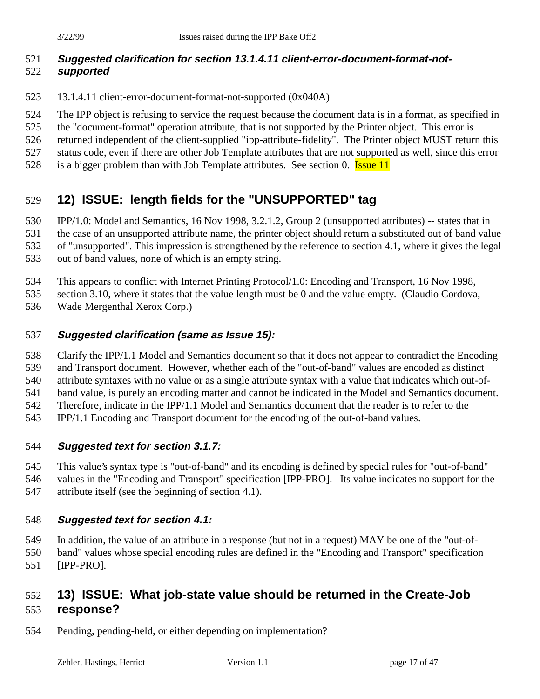#### **Suggested clarification for section 13.1.4.11 client-error-document-format-not-supported**

- 13.1.4.11 client-error-document-format-not-supported (0x040A)
- The IPP object is refusing to service the request because the document data is in a format, as specified in
- the "document-format" operation attribute, that is not supported by the Printer object. This error is
- returned independent of the client-supplied "ipp-attribute-fidelity". The Printer object MUST return this
- status code, even if there are other Job Template attributes that are not supported as well, since this error
- 528 is a bigger problem than with Job Template attributes. See section 0. **Issue 11**

## **12) ISSUE: length fields for the "UNSUPPORTED" tag**

IPP/1.0: Model and Semantics, 16 Nov 1998, 3.2.1.2, Group 2 (unsupported attributes) -- states that in

the case of an unsupported attribute name, the printer object should return a substituted out of band value

of "unsupported". This impression is strengthened by the reference to section 4.1, where it gives the legal

- out of band values, none of which is an empty string.
- This appears to conflict with Internet Printing Protocol/1.0: Encoding and Transport, 16 Nov 1998,

section 3.10, where it states that the value length must be 0 and the value empty. (Claudio Cordova,

Wade Mergenthal Xerox Corp.)

## **Suggested clarification (same as Issue 15):**

Clarify the IPP/1.1 Model and Semantics document so that it does not appear to contradict the Encoding

 and Transport document. However, whether each of the "out-of-band" values are encoded as distinct attribute syntaxes with no value or as a single attribute syntax with a value that indicates which out-of-

band value, is purely an encoding matter and cannot be indicated in the Model and Semantics document.

Therefore, indicate in the IPP/1.1 Model and Semantics document that the reader is to refer to the

IPP/1.1 Encoding and Transport document for the encoding of the out-of-band values.

## **Suggested text for section 3.1.7:**

This value's syntax type is "out-of-band" and its encoding is defined by special rules for "out-of-band"

 values in the "Encoding and Transport" specification [IPP-PRO]. Its value indicates no support for the attribute itself (see the beginning of section 4.1).

## **Suggested text for section 4.1:**

In addition, the value of an attribute in a response (but not in a request) MAY be one of the "out-of-

- band" values whose special encoding rules are defined in the "Encoding and Transport" specification
- [IPP-PRO].

## **13) ISSUE: What job-state value should be returned in the Create-Job response?**

Pending, pending-held, or either depending on implementation?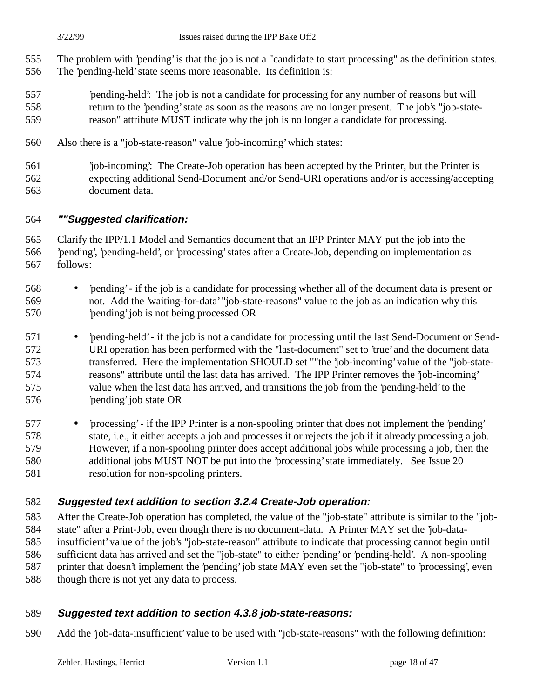- The problem with 'pending' is that the job is not a "candidate to start processing" as the definition states. The 'pending-held' state seems more reasonable. Its definition is:
- 'pending-held': The job is not a candidate for processing for any number of reasons but will return to the 'pending' state as soon as the reasons are no longer present. The job's "job-state-reason" attribute MUST indicate why the job is no longer a candidate for processing.
- Also there is a "job-state-reason" value 'job-incoming' which states:
- 'job-incoming': The Create-Job operation has been accepted by the Printer, but the Printer is expecting additional Send-Document and/or Send-URI operations and/or is accessing/accepting document data.

#### **""Suggested clarification:**

 Clarify the IPP/1.1 Model and Semantics document that an IPP Printer MAY put the job into the 'pending', 'pending-held', or 'processing' states after a Create-Job, depending on implementation as follows:

- 'pending' if the job is a candidate for processing whether all of the document data is present or not. Add the 'waiting-for-data' "job-state-reasons" value to the job as an indication why this 'pending' job is not being processed OR
- 'pending-held' if the job is not a candidate for processing until the last Send-Document or Send- URI operation has been performed with the "last-document" set to 'true' and the document data transferred. Here the implementation SHOULD set ""the 'job-incoming' value of the "job-state- reasons" attribute until the last data has arrived. The IPP Printer removes the 'job-incoming' value when the last data has arrived, and transitions the job from the 'pending-held' to the 'pending' job state OR
- 'processing' if the IPP Printer is a non-spooling printer that does not implement the 'pending' 578 state, i.e., it either accepts a job and processes it or rejects the job if it already processing a job. However, if a non-spooling printer does accept additional jobs while processing a job, then the additional jobs MUST NOT be put into the 'processing' state immediately. See Issue 20 resolution for non-spooling printers.

### **Suggested text addition to section 3.2.4 Create-Job operation:**

 After the Create-Job operation has completed, the value of the "job-state" attribute is similar to the "job- state" after a Print-Job, even though there is no document-data. A Printer MAY set the 'job-data- insufficient' value of the job's "job-state-reason" attribute to indicate that processing cannot begin until sufficient data has arrived and set the "job-state" to either 'pending' or 'pending-held'. A non-spooling printer that doesn't implement the 'pending' job state MAY even set the "job-state" to 'processing', even though there is not yet any data to process.

### **Suggested text addition to section 4.3.8 job-state-reasons:**

Add the 'job-data-insufficient' value to be used with "job-state-reasons" with the following definition: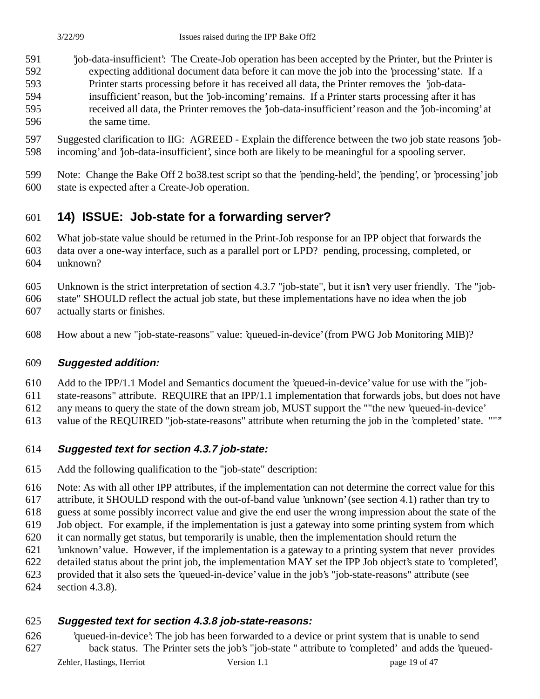- 'job-data-insufficient': The Create-Job operation has been accepted by the Printer, but the Printer is expecting additional document data before it can move the job into the 'processing' state. If a Printer starts processing before it has received all data, the Printer removes the 'job-data- insufficient' reason, but the 'job-incoming' remains. If a Printer starts processing after it has received all data, the Printer removes the 'job-data-insufficient' reason and the 'job-incoming' at the same time.
- Suggested clarification to IIG: AGREED Explain the difference between the two job state reasons 'job-incoming' and 'job-data-insufficient', since both are likely to be meaningful for a spooling server.
- Note: Change the Bake Off 2 bo38.test script so that the 'pending-held', the 'pending', or 'processing' job state is expected after a Create-Job operation.

## **14) ISSUE: Job-state for a forwarding server?**

What job-state value should be returned in the Print-Job response for an IPP object that forwards the

- data over a one-way interface, such as a parallel port or LPD? pending, processing, completed, or unknown?
- Unknown is the strict interpretation of section 4.3.7 "job-state", but it isn't very user friendly. The "job-
- state" SHOULD reflect the actual job state, but these implementations have no idea when the job
- actually starts or finishes.
- How about a new "job-state-reasons" value: 'queued-in-device' (from PWG Job Monitoring MIB)?

### **Suggested addition:**

Add to the IPP/1.1 Model and Semantics document the 'queued-in-device' value for use with the "job-

- state-reasons" attribute. REQUIRE that an IPP/1.1 implementation that forwards jobs, but does not have
- any means to query the state of the down stream job, MUST support the ""the new 'queued-in-device'
- value of the REQUIRED "job-state-reasons" attribute when returning the job in the 'completed' state. ""''

## **Suggested text for section 4.3.7 job-state:**

- Add the following qualification to the "job-state" description:
- Note: As with all other IPP attributes, if the implementation can not determine the correct value for this
- attribute, it SHOULD respond with the out-of-band value 'unknown' (see section 4.1) rather than try to
- guess at some possibly incorrect value and give the end user the wrong impression about the state of the
- Job object. For example, if the implementation is just a gateway into some printing system from which
- it can normally get status, but temporarily is unable, then the implementation should return the
- 'unknown' value. However, if the implementation is a gateway to a printing system that never provides
- detailed status about the print job, the implementation MAY set the IPP Job object's state to 'completed',
- provided that it also sets the 'queued-in-device' value in the job's "job-state-reasons" attribute (see
- section 4.3.8).

### **Suggested text for section 4.3.8 job-state-reasons:**

 'queued-in-device': The job has been forwarded to a device or print system that is unable to send back status. The Printer sets the job's "job-state " attribute to 'completed' and adds the 'queued-

Zehler, Hastings, Herriot Version 1.1 page 19 of 47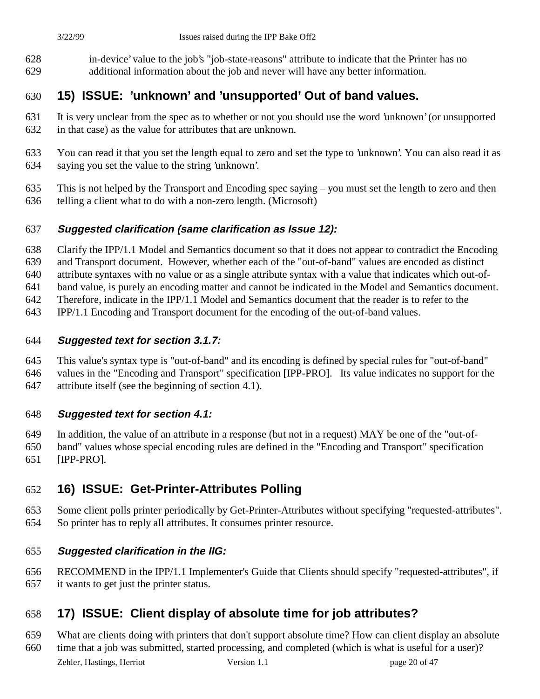in-device' value to the job's "job-state-reasons" attribute to indicate that the Printer has no additional information about the job and never will have any better information.

## **15) ISSUE: 'unknown' and 'unsupported' Out of band values.**

- It is very unclear from the spec as to whether or not you should use the word 'unknown' (or unsupported in that case) as the value for attributes that are unknown.
- You can read it that you set the length equal to zero and set the type to 'unknown'. You can also read it as saying you set the value to the string 'unknown'.
- This is not helped by the Transport and Encoding spec saying you must set the length to zero and then telling a client what to do with a non-zero length. (Microsoft)

### **Suggested clarification (same clarification as Issue 12):**

- Clarify the IPP/1.1 Model and Semantics document so that it does not appear to contradict the Encoding
- and Transport document. However, whether each of the "out-of-band" values are encoded as distinct
- attribute syntaxes with no value or as a single attribute syntax with a value that indicates which out-of-
- band value, is purely an encoding matter and cannot be indicated in the Model and Semantics document.
- Therefore, indicate in the IPP/1.1 Model and Semantics document that the reader is to refer to the
- IPP/1.1 Encoding and Transport document for the encoding of the out-of-band values.

#### **Suggested text for section 3.1.7:**

- This value's syntax type is "out-of-band" and its encoding is defined by special rules for "out-of-band"
- values in the "Encoding and Transport" specification [IPP-PRO]. Its value indicates no support for the attribute itself (see the beginning of section 4.1).

### **Suggested text for section 4.1:**

- In addition, the value of an attribute in a response (but not in a request) MAY be one of the "out-of-
- band" values whose special encoding rules are defined in the "Encoding and Transport" specification [IPP-PRO].

## **16) ISSUE: Get-Printer-Attributes Polling**

 Some client polls printer periodically by Get-Printer-Attributes without specifying "requested-attributes". So printer has to reply all attributes. It consumes printer resource.

### **Suggested clarification in the IIG:**

 RECOMMEND in the IPP/1.1 Implementer's Guide that Clients should specify "requested-attributes", if it wants to get just the printer status.

## **17) ISSUE: Client display of absolute time for job attributes?**

- What are clients doing with printers that don't support absolute time? How can client display an absolute
- Zehler, Hastings, Herriot Version 1.1 page 20 of 47 time that a job was submitted, started processing, and completed (which is what is useful for a user)?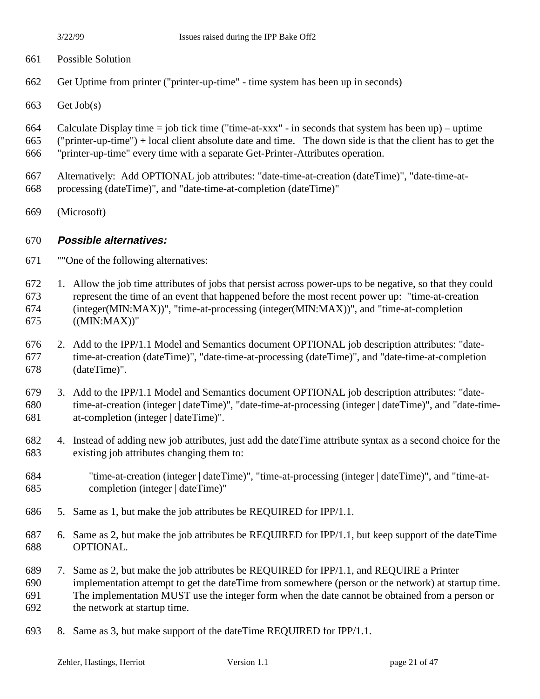- Possible Solution
- Get Uptime from printer ("printer-up-time" time system has been up in seconds)
- Get Job(s)
- Calculate Display time = job tick time ("time-at-xxx" in seconds that system has been up) uptime
- ("printer-up-time") + local client absolute date and time. The down side is that the client has to get the
- "printer-up-time" every time with a separate Get-Printer-Attributes operation.
- Alternatively: Add OPTIONAL job attributes: "date-time-at-creation (dateTime)", "date-time-at-processing (dateTime)", and "date-time-at-completion (dateTime)"
- (Microsoft)

#### **Possible alternatives:**

- ""One of the following alternatives:
- 1. Allow the job time attributes of jobs that persist across power-ups to be negative, so that they could represent the time of an event that happened before the most recent power up: "time-at-creation (integer(MIN:MAX))", "time-at-processing (integer(MIN:MAX))", and "time-at-completion ((MIN:MAX))"
- 2. Add to the IPP/1.1 Model and Semantics document OPTIONAL job description attributes: "date- time-at-creation (dateTime)", "date-time-at-processing (dateTime)", and "date-time-at-completion (dateTime)".
- 3. Add to the IPP/1.1 Model and Semantics document OPTIONAL job description attributes: "date- time-at-creation (integer | dateTime)", "date-time-at-processing (integer | dateTime)", and "date-time-at-completion (integer | dateTime)".
- 4. Instead of adding new job attributes, just add the dateTime attribute syntax as a second choice for the existing job attributes changing them to:
- "time-at-creation (integer | dateTime)", "time-at-processing (integer | dateTime)", and "time-at-completion (integer | dateTime)"
- 5. Same as 1, but make the job attributes be REQUIRED for IPP/1.1.
- 6. Same as 2, but make the job attributes be REQUIRED for IPP/1.1, but keep support of the dateTime OPTIONAL.
- 7. Same as 2, but make the job attributes be REQUIRED for IPP/1.1, and REQUIRE a Printer
- implementation attempt to get the dateTime from somewhere (person or the network) at startup time.
- The implementation MUST use the integer form when the date cannot be obtained from a person or the network at startup time.
- 8. Same as 3, but make support of the dateTime REQUIRED for IPP/1.1.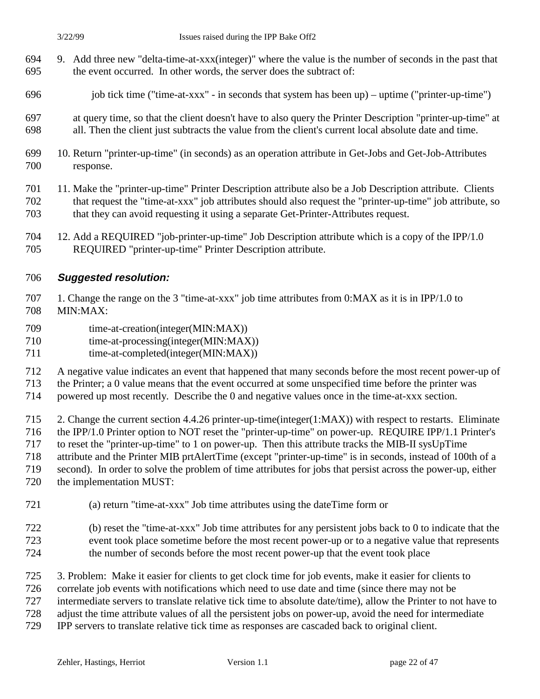- 9. Add three new "delta-time-at-xxx(integer)" where the value is the number of seconds in the past that the event occurred. In other words, the server does the subtract of:
- 696 job tick time ("time-at-xxx" in seconds that system has been up) uptime ("printer-up-time")
- at query time, so that the client doesn't have to also query the Printer Description "printer-up-time" at all. Then the client just subtracts the value from the client's current local absolute date and time.
- 10. Return "printer-up-time" (in seconds) as an operation attribute in Get-Jobs and Get-Job-Attributes response.
- 11. Make the "printer-up-time" Printer Description attribute also be a Job Description attribute. Clients that request the "time-at-xxx" job attributes should also request the "printer-up-time" job attribute, so that they can avoid requesting it using a separate Get-Printer-Attributes request.
- 12. Add a REQUIRED "job-printer-up-time" Job Description attribute which is a copy of the IPP/1.0 REQUIRED "printer-up-time" Printer Description attribute.

### **Suggested resolution:**

 1. Change the range on the 3 "time-at-xxx" job time attributes from 0:MAX as it is in IPP/1.0 to MIN:MAX:

- 709 time-at-creation(integer(MIN:MAX))
- time-at-processing(integer(MIN:MAX))
- 711 time-at-completed(integer(MIN:MAX))

A negative value indicates an event that happened that many seconds before the most recent power-up of

the Printer; a 0 value means that the event occurred at some unspecified time before the printer was

powered up most recently. Describe the 0 and negative values once in the time-at-xxx section.

2. Change the current section 4.4.26 printer-up-time(integer(1:MAX)) with respect to restarts. Eliminate

- the IPP/1.0 Printer option to NOT reset the "printer-up-time" on power-up. REQUIRE IPP/1.1 Printer's
- to reset the "printer-up-time" to 1 on power-up. Then this attribute tracks the MIB-II sysUpTime
- attribute and the Printer MIB prtAlertTime (except "printer-up-time" is in seconds, instead of 100th of a
- second). In order to solve the problem of time attributes for jobs that persist across the power-up, either

the implementation MUST:

- (a) return "time-at-xxx" Job time attributes using the dateTime form or
- (b) reset the "time-at-xxx" Job time attributes for any persistent jobs back to 0 to indicate that the event took place sometime before the most recent power-up or to a negative value that represents the number of seconds before the most recent power-up that the event took place
- 3. Problem: Make it easier for clients to get clock time for job events, make it easier for clients to

correlate job events with notifications which need to use date and time (since there may not be

intermediate servers to translate relative tick time to absolute date/time), allow the Printer to not have to

- adjust the time attribute values of all the persistent jobs on power-up, avoid the need for intermediate
- IPP servers to translate relative tick time as responses are cascaded back to original client.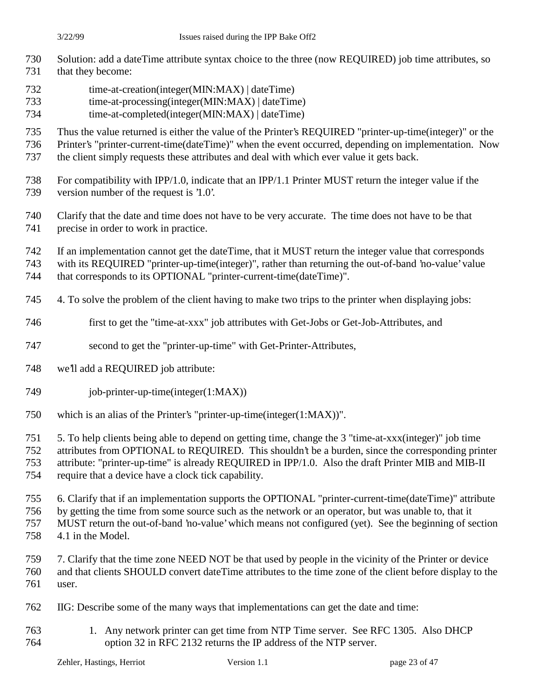- Solution: add a dateTime attribute syntax choice to the three (now REQUIRED) job time attributes, so
- that they become:
- time-at-creation(integer(MIN:MAX) | dateTime)
- time-at-processing(integer(MIN:MAX) | dateTime)
- time-at-completed(integer(MIN:MAX) | dateTime)

Thus the value returned is either the value of the Printer's REQUIRED "printer-up-time(integer)" or the

- Printer's "printer-current-time(dateTime)" when the event occurred, depending on implementation. Now
- the client simply requests these attributes and deal with which ever value it gets back.
- For compatibility with IPP/1.0, indicate that an IPP/1.1 Printer MUST return the integer value if the version number of the request is '1.0'.
- Clarify that the date and time does not have to be very accurate. The time does not have to be that precise in order to work in practice.
- If an implementation cannot get the dateTime, that it MUST return the integer value that corresponds
- with its REQUIRED "printer-up-time(integer)", rather than returning the out-of-band 'no-value' value
- that corresponds to its OPTIONAL "printer-current-time(dateTime)".
- 4. To solve the problem of the client having to make two trips to the printer when displaying jobs:
- first to get the "time-at-xxx" job attributes with Get-Jobs or Get-Job-Attributes, and
- second to get the "printer-up-time" with Get-Printer-Attributes,
- we'll add a REQUIRED job attribute:
- 749 job-printer-up-time(integer(1:MAX))
- which is an alias of the Printer's "printer-up-time(integer(1:MAX))".
- 5. To help clients being able to depend on getting time, change the 3 "time-at-xxx(integer)" job time
- attributes from OPTIONAL to REQUIRED. This shouldn't be a burden, since the corresponding printer
- attribute: "printer-up-time" is already REQUIRED in IPP/1.0. Also the draft Printer MIB and MIB-II
- require that a device have a clock tick capability.
- 6. Clarify that if an implementation supports the OPTIONAL "printer-current-time(dateTime)" attribute
- by getting the time from some source such as the network or an operator, but was unable to, that it
- MUST return the out-of-band 'no-value' which means not configured (yet). See the beginning of section
- 4.1 in the Model.
- 7. Clarify that the time zone NEED NOT be that used by people in the vicinity of the Printer or device and that clients SHOULD convert dateTime attributes to the time zone of the client before display to the user.
- IIG: Describe some of the many ways that implementations can get the date and time:
- 1. Any network printer can get time from NTP Time server. See RFC 1305. Also DHCP option 32 in RFC 2132 returns the IP address of the NTP server.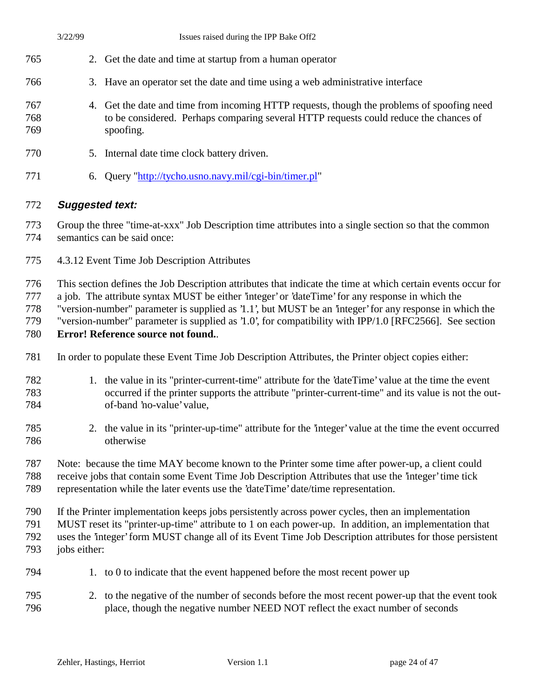|                                 | 3/22/99                                                                                                                                                                                                                                                                                                                                 |                                   | Issues raised during the IPP Bake Off2                    |  |                                                                                                                                                                                                                                                                                                                                                                                                                                       |  |
|---------------------------------|-----------------------------------------------------------------------------------------------------------------------------------------------------------------------------------------------------------------------------------------------------------------------------------------------------------------------------------------|-----------------------------------|-----------------------------------------------------------|--|---------------------------------------------------------------------------------------------------------------------------------------------------------------------------------------------------------------------------------------------------------------------------------------------------------------------------------------------------------------------------------------------------------------------------------------|--|
| 765                             |                                                                                                                                                                                                                                                                                                                                         |                                   | 2. Get the date and time at startup from a human operator |  |                                                                                                                                                                                                                                                                                                                                                                                                                                       |  |
| 766                             | 3. Have an operator set the date and time using a web administrative interface                                                                                                                                                                                                                                                          |                                   |                                                           |  |                                                                                                                                                                                                                                                                                                                                                                                                                                       |  |
| 767<br>768<br>769               |                                                                                                                                                                                                                                                                                                                                         | spoofing.                         |                                                           |  | 4. Get the date and time from incoming HTTP requests, though the problems of spoofing need<br>to be considered. Perhaps comparing several HTTP requests could reduce the chances of                                                                                                                                                                                                                                                   |  |
| 770                             |                                                                                                                                                                                                                                                                                                                                         |                                   | 5. Internal date time clock battery driven.               |  |                                                                                                                                                                                                                                                                                                                                                                                                                                       |  |
| 771                             | 6.                                                                                                                                                                                                                                                                                                                                      |                                   | Query "http://tycho.usno.navy.mil/cgi-bin/timer.pl"       |  |                                                                                                                                                                                                                                                                                                                                                                                                                                       |  |
| 772                             | <b>Suggested text:</b>                                                                                                                                                                                                                                                                                                                  |                                   |                                                           |  |                                                                                                                                                                                                                                                                                                                                                                                                                                       |  |
| 773<br>774                      |                                                                                                                                                                                                                                                                                                                                         | semantics can be said once:       |                                                           |  | Group the three "time-at-xxx" Job Description time attributes into a single section so that the common                                                                                                                                                                                                                                                                                                                                |  |
| 775                             | 4.3.12 Event Time Job Description Attributes                                                                                                                                                                                                                                                                                            |                                   |                                                           |  |                                                                                                                                                                                                                                                                                                                                                                                                                                       |  |
| 776<br>777<br>778<br>779<br>780 |                                                                                                                                                                                                                                                                                                                                         | Error! Reference source not found |                                                           |  | This section defines the Job Description attributes that indicate the time at which certain events occur for<br>a job. The attribute syntax MUST be either 'integer' or 'dateTime' for any response in which the<br>"version-number" parameter is supplied as '1.1', but MUST be an 'integer' for any response in which the<br>"version-number" parameter is supplied as '1.0', for compatibility with IPP/1.0 [RFC2566]. See section |  |
| 781                             | In order to populate these Event Time Job Description Attributes, the Printer object copies either:                                                                                                                                                                                                                                     |                                   |                                                           |  |                                                                                                                                                                                                                                                                                                                                                                                                                                       |  |
| 782<br>783<br>784               |                                                                                                                                                                                                                                                                                                                                         | of-band 'no-value' value,         |                                                           |  | 1. the value in its "printer-current-time" attribute for the 'dateTime' value at the time the event<br>occurred if the printer supports the attribute "printer-current-time" and its value is not the out-                                                                                                                                                                                                                            |  |
| 785<br>786                      |                                                                                                                                                                                                                                                                                                                                         | otherwise                         |                                                           |  | 2. the value in its "printer-up-time" attribute for the 'integer' value at the time the event occurred                                                                                                                                                                                                                                                                                                                                |  |
| 787<br>788<br>789               |                                                                                                                                                                                                                                                                                                                                         |                                   |                                                           |  | Note: because the time MAY become known to the Printer some time after power-up, a client could<br>receive jobs that contain some Event Time Job Description Attributes that use the 'integer' time tick<br>representation while the later events use the 'dateTime' date/time representation.                                                                                                                                        |  |
| 790<br>791<br>792<br>793        | If the Printer implementation keeps jobs persistently across power cycles, then an implementation<br>MUST reset its "printer-up-time" attribute to 1 on each power-up. In addition, an implementation that<br>uses the 'integer' form MUST change all of its Event Time Job Description attributes for those persistent<br>jobs either: |                                   |                                                           |  |                                                                                                                                                                                                                                                                                                                                                                                                                                       |  |
| 794                             |                                                                                                                                                                                                                                                                                                                                         |                                   |                                                           |  | 1. to 0 to indicate that the event happened before the most recent power up                                                                                                                                                                                                                                                                                                                                                           |  |
| 795<br>796                      |                                                                                                                                                                                                                                                                                                                                         |                                   |                                                           |  | 2. to the negative of the number of seconds before the most recent power-up that the event took<br>place, though the negative number NEED NOT reflect the exact number of seconds                                                                                                                                                                                                                                                     |  |
|                                 |                                                                                                                                                                                                                                                                                                                                         | Zehler, Hastings, Herriot         | Version 1.1                                               |  | page 24 of 47                                                                                                                                                                                                                                                                                                                                                                                                                         |  |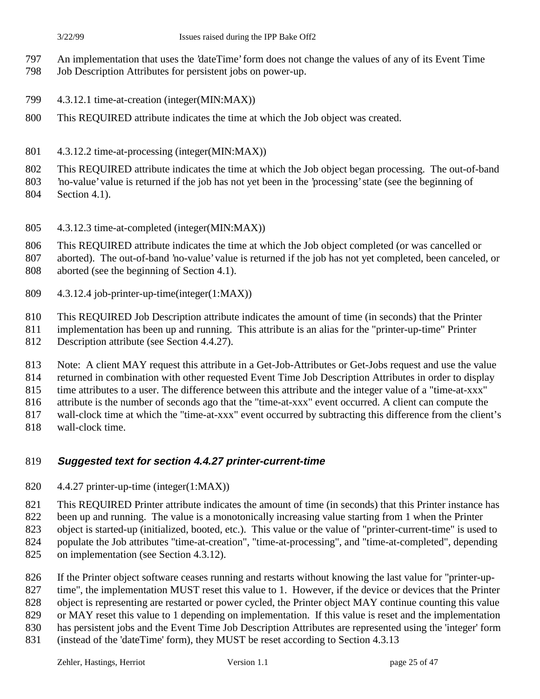- An implementation that uses the 'dateTime' form does not change the values of any of its Event Time
- Job Description Attributes for persistent jobs on power-up.
- 4.3.12.1 time-at-creation (integer(MIN:MAX))
- This REQUIRED attribute indicates the time at which the Job object was created.
- 4.3.12.2 time-at-processing (integer(MIN:MAX))

This REQUIRED attribute indicates the time at which the Job object began processing. The out-of-band

'no-value' value is returned if the job has not yet been in the 'processing' state (see the beginning of

- Section 4.1).
- 4.3.12.3 time-at-completed (integer(MIN:MAX))
- This REQUIRED attribute indicates the time at which the Job object completed (or was cancelled or
- aborted). The out-of-band 'no-value' value is returned if the job has not yet completed, been canceled, or
- aborted (see the beginning of Section 4.1).
- 4.3.12.4 job-printer-up-time(integer(1:MAX))

This REQUIRED Job Description attribute indicates the amount of time (in seconds) that the Printer

- implementation has been up and running. This attribute is an alias for the "printer-up-time" Printer
- Description attribute (see Section 4.4.27).
- Note: A client MAY request this attribute in a Get-Job-Attributes or Get-Jobs request and use the value

returned in combination with other requested Event Time Job Description Attributes in order to display

time attributes to a user. The difference between this attribute and the integer value of a "time-at-xxx"

attribute is the number of seconds ago that the "time-at-xxx" event occurred. A client can compute the

wall-clock time at which the "time-at-xxx" event occurred by subtracting this difference from the client's

wall-clock time.

## **Suggested text for section 4.4.27 printer-current-time**

4.4.27 printer-up-time (integer(1:MAX))

 This REQUIRED Printer attribute indicates the amount of time (in seconds) that this Printer instance has been up and running. The value is a monotonically increasing value starting from 1 when the Printer

- object is started-up (initialized, booted, etc.). This value or the value of "printer-current-time" is used to
- 824 populate the Job attributes "time-at-creation", "time-at-processing", and "time-at-completed", depending
- on implementation (see Section 4.3.12).
- If the Printer object software ceases running and restarts without knowing the last value for "printer-up-

time", the implementation MUST reset this value to 1. However, if the device or devices that the Printer

- object is representing are restarted or power cycled, the Printer object MAY continue counting this value
- or MAY reset this value to 1 depending on implementation. If this value is reset and the implementation
- has persistent jobs and the Event Time Job Description Attributes are represented using the 'integer' form
- (instead of the 'dateTime' form), they MUST be reset according to Section 4.3.13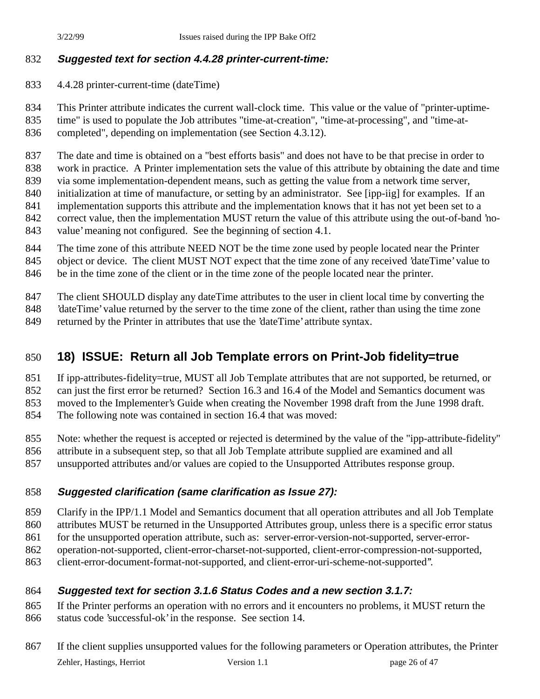### **Suggested text for section 4.4.28 printer-current-time:**

4.4.28 printer-current-time (dateTime)

This Printer attribute indicates the current wall-clock time. This value or the value of "printer-uptime-

time" is used to populate the Job attributes "time-at-creation", "time-at-processing", and "time-at-

completed", depending on implementation (see Section 4.3.12).

The date and time is obtained on a "best efforts basis" and does not have to be that precise in order to

work in practice. A Printer implementation sets the value of this attribute by obtaining the date and time

via some implementation-dependent means, such as getting the value from a network time server,

- initialization at time of manufacture, or setting by an administrator. See [ipp-iig] for examples. If an 841 implementation supports this attribute and the implementation knows that it has not yet been set to a
- correct value, then the implementation MUST return the value of this attribute using the out-of-band 'no-
- value' meaning not configured. See the beginning of section 4.1.
- The time zone of this attribute NEED NOT be the time zone used by people located near the Printer
- object or device. The client MUST NOT expect that the time zone of any received 'dateTime' value to
- be in the time zone of the client or in the time zone of the people located near the printer.

The client SHOULD display any dateTime attributes to the user in client local time by converting the

- 'dateTime' value returned by the server to the time zone of the client, rather than using the time zone
- returned by the Printer in attributes that use the 'dateTime' attribute syntax.

## **18) ISSUE: Return all Job Template errors on Print-Job fidelity=true**

If ipp-attributes-fidelity=true, MUST all Job Template attributes that are not supported, be returned, or

can just the first error be returned? Section 16.3 and 16.4 of the Model and Semantics document was

moved to the Implementer's Guide when creating the November 1998 draft from the June 1998 draft.

The following note was contained in section 16.4 that was moved:

Note: whether the request is accepted or rejected is determined by the value of the "ipp-attribute-fidelity"

attribute in a subsequent step, so that all Job Template attribute supplied are examined and all

unsupported attributes and/or values are copied to the Unsupported Attributes response group.

### **Suggested clarification (same clarification as Issue 27):**

Clarify in the IPP/1.1 Model and Semantics document that all operation attributes and all Job Template

- attributes MUST be returned in the Unsupported Attributes group, unless there is a specific error status
- 861 for the unsupported operation attribute, such as: server-error-version-not-supported, server-error-
- operation-not-supported, client-error-charset-not-supported, client-error-compression-not-supported,
- client-error-document-format-not-supported, and client-error-uri-scheme-not-supported''.

### **Suggested text for section 3.1.6 Status Codes and a new section 3.1.7:**

If the Printer performs an operation with no errors and it encounters no problems, it MUST return the

- status code 'successful-ok' in the response. See section 14.
- Zehler, Hastings, Herriot Version 1.1 page 26 of 47 If the client supplies unsupported values for the following parameters or Operation attributes, the Printer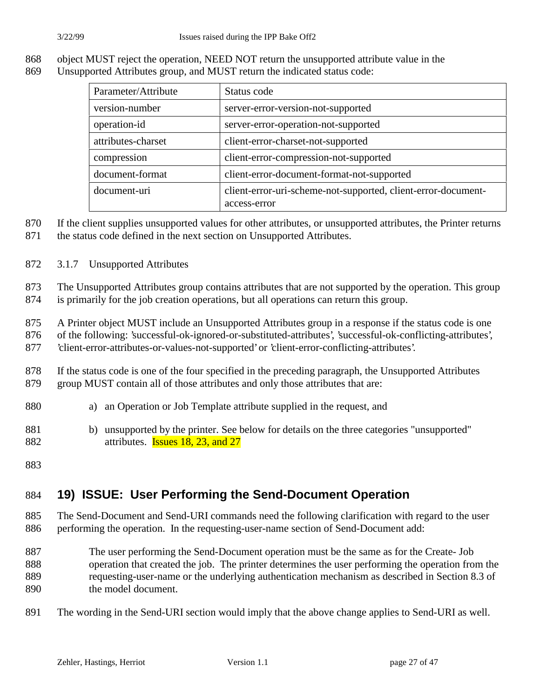- 868 object MUST reject the operation, NEED NOT return the unsupported attribute value in the
- 869 Unsupported Attributes group, and MUST return the indicated status code:

| Parameter/Attribute | Status code                                                   |
|---------------------|---------------------------------------------------------------|
| version-number      | server-error-version-not-supported                            |
| operation-id        | server-error-operation-not-supported                          |
| attributes-charset  | client-error-charset-not-supported                            |
| compression         | client-error-compression-not-supported                        |
| document-format     | client-error-document-format-not-supported                    |
| document-uri        | client-error-uri-scheme-not-supported, client-error-document- |
|                     | access-error                                                  |

- 870 If the client supplies unsupported values for other attributes, or unsupported attributes, the Printer returns
- 871 the status code defined in the next section on Unsupported Attributes.
- 872 3.1.7 Unsupported Attributes
- 873 The Unsupported Attributes group contains attributes that are not supported by the operation. This group 874 is primarily for the job creation operations, but all operations can return this group.
- 875 A Printer object MUST include an Unsupported Attributes group in a response if the status code is one
- 876 of the following: 'successful-ok-ignored-or-substituted-attributes', 'successful-ok-conflicting-attributes',
- 877 'client-error-attributes-or-values-not-supported' or 'client-error-conflicting-attributes'.
- 878 If the status code is one of the four specified in the preceding paragraph, the Unsupported Attributes 879 group MUST contain all of those attributes and only those attributes that are:
- 880 a) an Operation or Job Template attribute supplied in the request, and
- 881 b) unsupported by the printer. See below for details on the three categories "unsupported" 882 attributes. **Issues 18, 23, and 27**
- 883

## 884 **19) ISSUE: User Performing the Send-Document Operation**

- 885 The Send-Document and Send-URI commands need the following clarification with regard to the user 886 performing the operation. In the requesting-user-name section of Send-Document add:
- 887 The user performing the Send-Document operation must be the same as for the Create- Job 888 operation that created the job. The printer determines the user performing the operation from the 889 requesting-user-name or the underlying authentication mechanism as described in Section 8.3 of 890 the model document.
- 891 The wording in the Send-URI section would imply that the above change applies to Send-URI as well.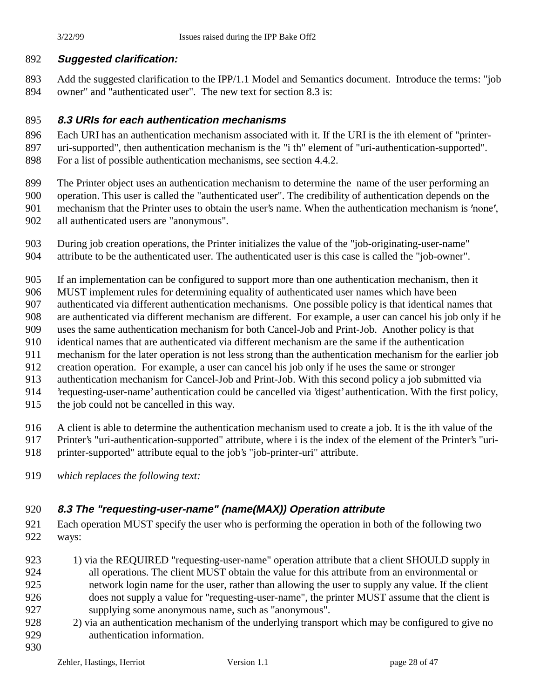#### **Suggested clarification:**

 Add the suggested clarification to the IPP/1.1 Model and Semantics document. Introduce the terms: "job owner" and "authenticated user". The new text for section 8.3 is:

#### **8.3 URIs for each authentication mechanisms**

Each URI has an authentication mechanism associated with it. If the URI is the ith element of "printer-

uri-supported", then authentication mechanism is the "i th" element of "uri-authentication-supported".

For a list of possible authentication mechanisms, see section 4.4.2.

 The Printer object uses an authentication mechanism to determine the name of the user performing an operation. This user is called the "authenticated user". The credibility of authentication depends on the 901 mechanism that the Printer uses to obtain the user's name. When the authentication mechanism is 'none', all authenticated users are "anonymous".

- During job creation operations, the Printer initializes the value of the "job-originating-user-name"
- attribute to be the authenticated user. The authenticated user is this case is called the "job-owner".

If an implementation can be configured to support more than one authentication mechanism, then it

- MUST implement rules for determining equality of authenticated user names which have been
- authenticated via different authentication mechanisms. One possible policy is that identical names that
- are authenticated via different mechanism are different. For example, a user can cancel his job only if he
- uses the same authentication mechanism for both Cancel-Job and Print-Job. Another policy is that
- identical names that are authenticated via different mechanism are the same if the authentication
- mechanism for the later operation is not less strong than the authentication mechanism for the earlier job
- creation operation. For example, a user can cancel his job only if he uses the same or stronger
- authentication mechanism for Cancel-Job and Print-Job. With this second policy a job submitted via
- 'requesting-user-name' authentication could be cancelled via 'digest' authentication. With the first policy,
- the job could not be cancelled in this way.
- A client is able to determine the authentication mechanism used to create a job. It is the ith value of the
- Printer's "uri-authentication-supported" attribute, where i is the index of the element of the Printer's "uri-
- printer-supported" attribute equal to the job's "job-printer-uri" attribute.
- *which replaces the following text:*

### **8.3 The "requesting-user-name" (name(MAX)) Operation attribute**

- Each operation MUST specify the user who is performing the operation in both of the following two ways:
- 923 1) via the REQUIRED "requesting-user-name" operation attribute that a client SHOULD supply in all operations. The client MUST obtain the value for this attribute from an environmental or network login name for the user, rather than allowing the user to supply any value. If the client does not supply a value for "requesting-user-name", the printer MUST assume that the client is supplying some anonymous name, such as "anonymous".
- 2) via an authentication mechanism of the underlying transport which may be configured to give no authentication information.
-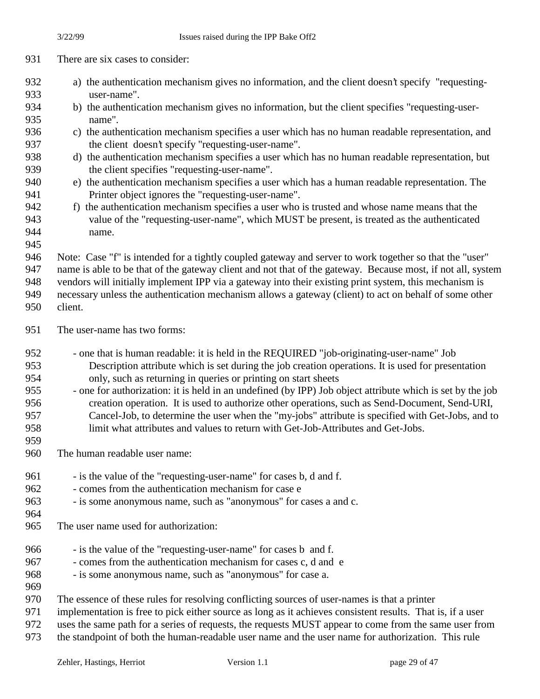931 There are six cases to consider:

| 932 | a) the authentication mechanism gives no information, and the client doesn't specify "requesting- |
|-----|---------------------------------------------------------------------------------------------------|
| 933 | user-name".                                                                                       |

- b) the authentication mechanism gives no information, but the client specifies "requesting-user-name".
- c) the authentication mechanism specifies a user which has no human readable representation, and 937 the client doesn't specify "requesting-user-name".
- d) the authentication mechanism specifies a user which has no human readable representation, but the client specifies "requesting-user-name".
- e) the authentication mechanism specifies a user which has a human readable representation. The Printer object ignores the "requesting-user-name".
- f) the authentication mechanism specifies a user who is trusted and whose name means that the value of the "requesting-user-name", which MUST be present, is treated as the authenticated name.
- 

Note: Case "f" is intended for a tightly coupled gateway and server to work together so that the "user"

name is able to be that of the gateway client and not that of the gateway. Because most, if not all, system

vendors will initially implement IPP via a gateway into their existing print system, this mechanism is

- necessary unless the authentication mechanism allows a gateway (client) to act on behalf of some other
- client.
- The user-name has two forms:
- 952 one that is human readable: it is held in the REQUIRED "job-originating-user-name" Job Description attribute which is set during the job creation operations. It is used for presentation only, such as returning in queries or printing on start sheets
- one for authorization: it is held in an undefined (by IPP) Job object attribute which is set by the job creation operation. It is used to authorize other operations, such as Send-Document, Send-URI, Cancel-Job, to determine the user when the "my-jobs" attribute is specified with Get-Jobs, and to limit what attributes and values to return with Get-Job-Attributes and Get-Jobs.
- 

The human readable user name:

- is the value of the "requesting-user-name" for cases b, d and f.
- comes from the authentication mechanism for case e
- is some anonymous name, such as "anonymous" for cases a and c.
- 

The user name used for authorization:

- is the value of the "requesting-user-name" for cases b and f.
- comes from the authentication mechanism for cases c, d and e
- is some anonymous name, such as "anonymous" for case a.
- 
- The essence of these rules for resolving conflicting sources of user-names is that a printer

implementation is free to pick either source as long as it achieves consistent results. That is, if a user

972 uses the same path for a series of requests, the requests MUST appear to come from the same user from<br>973 the standpoint of both the human-readable user name and the user name for authorization. This rule

the standpoint of both the human-readable user name and the user name for authorization. This rule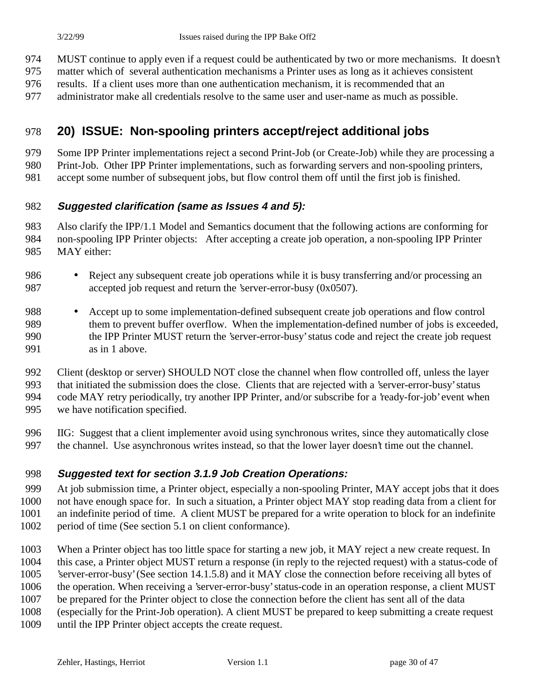- MUST continue to apply even if a request could be authenticated by two or more mechanisms. It doesn't
- matter which of several authentication mechanisms a Printer uses as long as it achieves consistent
- results. If a client uses more than one authentication mechanism, it is recommended that an
- administrator make all credentials resolve to the same user and user-name as much as possible.

## **20) ISSUE: Non-spooling printers accept/reject additional jobs**

Some IPP Printer implementations reject a second Print-Job (or Create-Job) while they are processing a

Print-Job. Other IPP Printer implementations, such as forwarding servers and non-spooling printers,

accept some number of subsequent jobs, but flow control them off until the first job is finished.

### **Suggested clarification (same as Issues 4 and 5):**

 Also clarify the IPP/1.1 Model and Semantics document that the following actions are conforming for non-spooling IPP Printer objects: After accepting a create job operation, a non-spooling IPP Printer MAY either:

- Reject any subsequent create job operations while it is busy transferring and/or processing an accepted job request and return the 'server-error-busy (0x0507).
- Accept up to some implementation-defined subsequent create job operations and flow control 989 them to prevent buffer overflow. When the implementation-defined number of jobs is exceeded, the IPP Printer MUST return the 'server-error-busy' status code and reject the create job request as in 1 above.

992 Client (desktop or server) SHOULD NOT close the channel when flow controlled off, unless the layer that initiated the submission does the close. Clients that are rejected with a 'server-error-busy' status that initiated the submission does the close. Clients that are rejected with a 'server-error-busy' status code MAY retry periodically, try another IPP Printer, and/or subscribe for a 'ready-for-job' event when we have notification specified.

 IIG: Suggest that a client implementer avoid using synchronous writes, since they automatically close the channel. Use asynchronous writes instead, so that the lower layer doesn't time out the channel.

### **Suggested text for section 3.1.9 Job Creation Operations:**

 At job submission time, a Printer object, especially a non-spooling Printer, MAY accept jobs that it does not have enough space for. In such a situation, a Printer object MAY stop reading data from a client for an indefinite period of time. A client MUST be prepared for a write operation to block for an indefinite period of time (See section 5.1 on client conformance).

 When a Printer object has too little space for starting a new job, it MAY reject a new create request. In this case, a Printer object MUST return a response (in reply to the rejected request) with a status-code of 'server-error-busy' (See section 14.1.5.8) and it MAY close the connection before receiving all bytes of the operation. When receiving a 'server-error-busy' status-code in an operation response, a client MUST be prepared for the Printer object to close the connection before the client has sent all of the data (especially for the Print-Job operation). A client MUST be prepared to keep submitting a create request

until the IPP Printer object accepts the create request.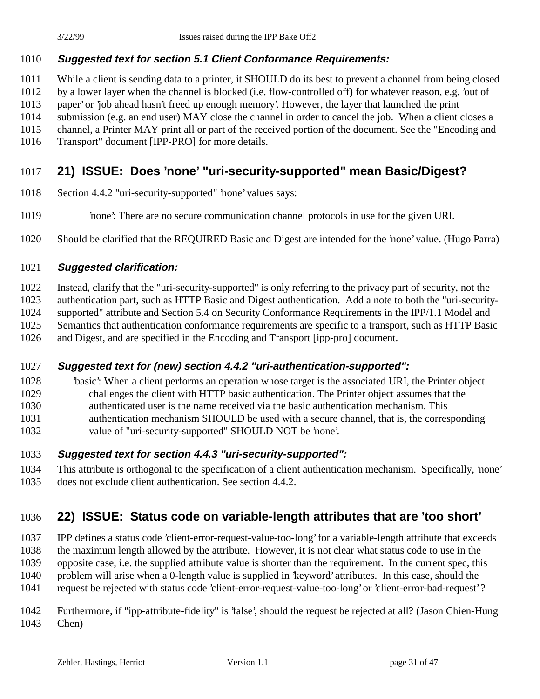### **Suggested text for section 5.1 Client Conformance Requirements:**

- While a client is sending data to a printer, it SHOULD do its best to prevent a channel from being closed
- by a lower layer when the channel is blocked (i.e. flow-controlled off) for whatever reason, e.g. 'out of
- paper' or 'job ahead hasn't freed up enough memory'. However, the layer that launched the print
- submission (e.g. an end user) MAY close the channel in order to cancel the job. When a client closes a
- channel, a Printer MAY print all or part of the received portion of the document. See the "Encoding and
- Transport" document [IPP-PRO] for more details.

## **21) ISSUE: Does 'none' "uri-security-supported" mean Basic/Digest?**

- Section 4.4.2 "uri-security-supported" 'none' values says:
- 'none': There are no secure communication channel protocols in use for the given URI.
- Should be clarified that the REQUIRED Basic and Digest are intended for the 'none' value. (Hugo Parra)

### **Suggested clarification:**

Instead, clarify that the "uri-security-supported" is only referring to the privacy part of security, not the

 authentication part, such as HTTP Basic and Digest authentication. Add a note to both the "uri-security-supported" attribute and Section 5.4 on Security Conformance Requirements in the IPP/1.1 Model and

Semantics that authentication conformance requirements are specific to a transport, such as HTTP Basic

and Digest, and are specified in the Encoding and Transport [ipp-pro] document.

### **Suggested text for (new) section 4.4.2 "uri-authentication-supported":**

- 'basic': When a client performs an operation whose target is the associated URI, the Printer object challenges the client with HTTP basic authentication. The Printer object assumes that the authenticated user is the name received via the basic authentication mechanism. This authentication mechanism SHOULD be used with a secure channel, that is, the corresponding
- value of "uri-security-supported" SHOULD NOT be 'none'.

### **Suggested text for section 4.4.3 "uri-security-supported":**

 This attribute is orthogonal to the specification of a client authentication mechanism. Specifically, 'none' does not exclude client authentication. See section 4.4.2.

## **22) ISSUE: Status code on variable-length attributes that are 'too short'**

 IPP defines a status code 'client-error-request-value-too-long' for a variable-length attribute that exceeds the maximum length allowed by the attribute. However, it is not clear what status code to use in the opposite case, i.e. the supplied attribute value is shorter than the requirement. In the current spec, this problem will arise when a 0-length value is supplied in 'keyword' attributes. In this case, should the request be rejected with status code 'client-error-request-value-too-long' or 'client-error-bad-request' ?

 Furthermore, if "ipp-attribute-fidelity" is 'false', should the request be rejected at all? (Jason Chien-Hung Chen)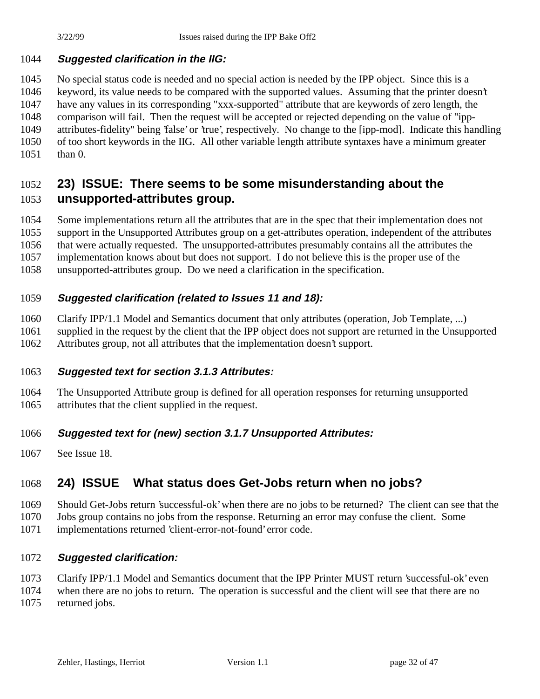#### **Suggested clarification in the IIG:**

No special status code is needed and no special action is needed by the IPP object. Since this is a

keyword, its value needs to be compared with the supported values. Assuming that the printer doesn't

 have any values in its corresponding "xxx-supported" attribute that are keywords of zero length, the comparison will fail. Then the request will be accepted or rejected depending on the value of "ipp-

attributes-fidelity" being 'false' or 'true', respectively. No change to the [ipp-mod]. Indicate this handling

of too short keywords in the IIG. All other variable length attribute syntaxes have a minimum greater

than 0.

## **23) ISSUE: There seems to be some misunderstanding about the unsupported-attributes group.**

Some implementations return all the attributes that are in the spec that their implementation does not

support in the Unsupported Attributes group on a get-attributes operation, independent of the attributes

that were actually requested. The unsupported-attributes presumably contains all the attributes the

implementation knows about but does not support. I do not believe this is the proper use of the

unsupported-attributes group. Do we need a clarification in the specification.

## **Suggested clarification (related to Issues 11 and 18):**

Clarify IPP/1.1 Model and Semantics document that only attributes (operation, Job Template, ...)

supplied in the request by the client that the IPP object does not support are returned in the Unsupported

Attributes group, not all attributes that the implementation doesn't support.

## **Suggested text for section 3.1.3 Attributes:**

 The Unsupported Attribute group is defined for all operation responses for returning unsupported attributes that the client supplied in the request.

## **Suggested text for (new) section 3.1.7 Unsupported Attributes:**

See Issue 18.

## **24) ISSUE What status does Get-Jobs return when no jobs?**

Should Get-Jobs return 'successful-ok' when there are no jobs to be returned? The client can see that the

Jobs group contains no jobs from the response. Returning an error may confuse the client. Some

implementations returned 'client-error-not-found' error code.

## **Suggested clarification:**

Clarify IPP/1.1 Model and Semantics document that the IPP Printer MUST return 'successful-ok' even

 when there are no jobs to return. The operation is successful and the client will see that there are no returned jobs.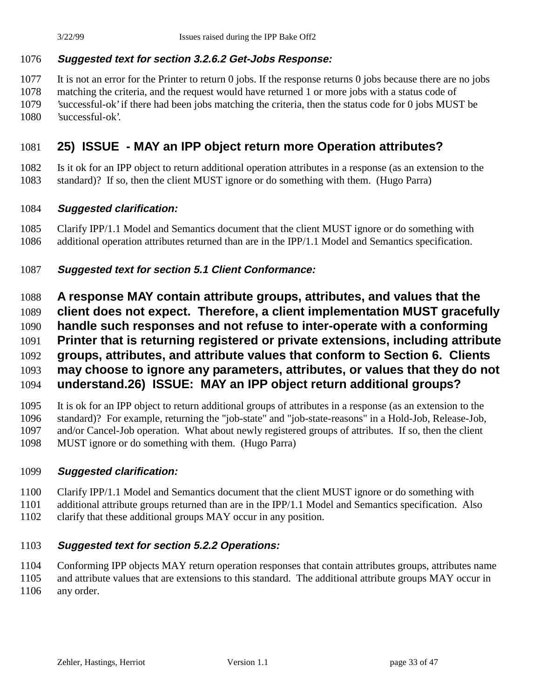#### **Suggested text for section 3.2.6.2 Get-Jobs Response:**

 It is not an error for the Printer to return 0 jobs. If the response returns 0 jobs because there are no jobs matching the criteria, and the request would have returned 1 or more jobs with a status code of 'successful-ok' if there had been jobs matching the criteria, then the status code for 0 jobs MUST be 'successful-ok'.

## **25) ISSUE - MAY an IPP object return more Operation attributes?**

 Is it ok for an IPP object to return additional operation attributes in a response (as an extension to the standard)? If so, then the client MUST ignore or do something with them. (Hugo Parra)

#### **Suggested clarification:**

 Clarify IPP/1.1 Model and Semantics document that the client MUST ignore or do something with additional operation attributes returned than are in the IPP/1.1 Model and Semantics specification.

### **Suggested text for section 5.1 Client Conformance:**

**A response MAY contain attribute groups, attributes, and values that the**

**client does not expect. Therefore, a client implementation MUST gracefully**

 **handle such responses and not refuse to inter-operate with a conforming Printer that is returning registered or private extensions, including attribute**

**groups, attributes, and attribute values that conform to Section 6. Clients**

**may choose to ignore any parameters, attributes, or values that they do not**

**understand.26) ISSUE: MAY an IPP object return additional groups?**

 It is ok for an IPP object to return additional groups of attributes in a response (as an extension to the standard)? For example, returning the "job-state" and "job-state-reasons" in a Hold-Job, Release-Job, and/or Cancel-Job operation. What about newly registered groups of attributes. If so, then the client MUST ignore or do something with them. (Hugo Parra)

#### **Suggested clarification:**

Clarify IPP/1.1 Model and Semantics document that the client MUST ignore or do something with

additional attribute groups returned than are in the IPP/1.1 Model and Semantics specification. Also

clarify that these additional groups MAY occur in any position.

#### **Suggested text for section 5.2.2 Operations:**

Conforming IPP objects MAY return operation responses that contain attributes groups, attributes name

 and attribute values that are extensions to this standard. The additional attribute groups MAY occur in any order.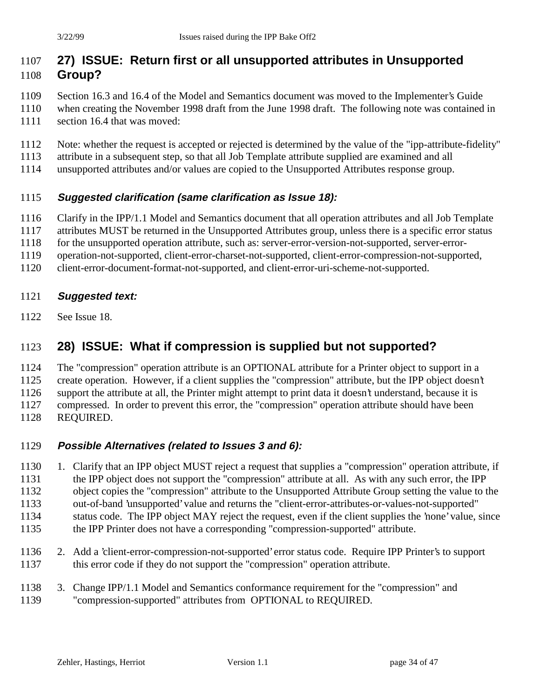## **27) ISSUE: Return first or all unsupported attributes in Unsupported Group?**

- Section 16.3 and 16.4 of the Model and Semantics document was moved to the Implementer's Guide
- when creating the November 1998 draft from the June 1998 draft. The following note was contained in section 16.4 that was moved:
- 
- Note: whether the request is accepted or rejected is determined by the value of the "ipp-attribute-fidelity"
- attribute in a subsequent step, so that all Job Template attribute supplied are examined and all
- unsupported attributes and/or values are copied to the Unsupported Attributes response group.

#### **Suggested clarification (same clarification as Issue 18):**

- Clarify in the IPP/1.1 Model and Semantics document that all operation attributes and all Job Template
- attributes MUST be returned in the Unsupported Attributes group, unless there is a specific error status
- for the unsupported operation attribute, such as: server-error-version-not-supported, server-error-
- operation-not-supported, client-error-charset-not-supported, client-error-compression-not-supported,
- client-error-document-format-not-supported, and client-error-uri-scheme-not-supported.

#### **Suggested text:**

See Issue 18.

## **28) ISSUE: What if compression is supplied but not supported?**

 The "compression" operation attribute is an OPTIONAL attribute for a Printer object to support in a create operation. However, if a client supplies the "compression" attribute, but the IPP object doesn't support the attribute at all, the Printer might attempt to print data it doesn't understand, because it is compressed. In order to prevent this error, the "compression" operation attribute should have been REQUIRED.

### **Possible Alternatives (related to Issues 3 and 6):**

 1. Clarify that an IPP object MUST reject a request that supplies a "compression" operation attribute, if the IPP object does not support the "compression" attribute at all. As with any such error, the IPP object copies the "compression" attribute to the Unsupported Attribute Group setting the value to the out-of-band 'unsupported' value and returns the "client-error-attributes-or-values-not-supported" status code. The IPP object MAY reject the request, even if the client supplies the 'none' value, since the IPP Printer does not have a corresponding "compression-supported" attribute.

- 2. Add a 'client-error-compression-not-supported' error status code. Require IPP Printer's to support this error code if they do not support the "compression" operation attribute.
- 3. Change IPP/1.1 Model and Semantics conformance requirement for the "compression" and "compression-supported" attributes from OPTIONAL to REQUIRED.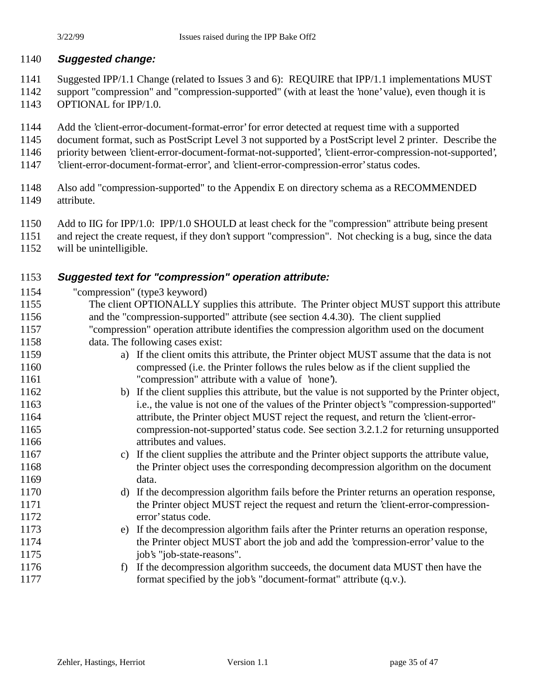#### **Suggested change:**

- Suggested IPP/1.1 Change (related to Issues 3 and 6): REQUIRE that IPP/1.1 implementations MUST
- support "compression" and "compression-supported" (with at least the 'none' value), even though it is OPTIONAL for IPP/1.0.
- Add the 'client-error-document-format-error' for error detected at request time with a supported
- document format, such as PostScript Level 3 not supported by a PostScript level 2 printer. Describe the
- priority between 'client-error-document-format-not-supported', 'client-error-compression-not-supported',
- 'client-error-document-format-error', and 'client-error-compression-error' status codes.
- Also add "compression-supported" to the Appendix E on directory schema as a RECOMMENDED attribute.
- Add to IIG for IPP/1.0: IPP/1.0 SHOULD at least check for the "compression" attribute being present
- and reject the create request, if they don't support "compression". Not checking is a bug, since the data will be unintelligible.
- 

### **Suggested text for "compression" operation attribute:**

- "compression" (type3 keyword)
- The client OPTIONALLY supplies this attribute. The Printer object MUST support this attribute and the "compression-supported" attribute (see section 4.4.30). The client supplied "compression" operation attribute identifies the compression algorithm used on the document data. The following cases exist:
- a) If the client omits this attribute, the Printer object MUST assume that the data is not compressed (i.e. the Printer follows the rules below as if the client supplied the "compression" attribute with a value of 'none').
- 1162 b) If the client supplies this attribute, but the value is not supported by the Printer object, i.e., the value is not one of the values of the Printer object's "compression-supported" attribute, the Printer object MUST reject the request, and return the 'client-error- compression-not-supported' status code. See section 3.2.1.2 for returning unsupported **attributes** and values.
- c) If the client supplies the attribute and the Printer object supports the attribute value, the Printer object uses the corresponding decompression algorithm on the document data.
- d) If the decompression algorithm fails before the Printer returns an operation response, 1171 the Printer object MUST reject the request and return the 'client-error-compression-error' status code.
- e) If the decompression algorithm fails after the Printer returns an operation response, the Printer object MUST abort the job and add the 'compression-error' value to the 1175 job's "job-state-reasons".
- 1176 f) If the decompression algorithm succeeds, the document data MUST then have the 1177 format specified by the job's "document-format" attribute (q.v.).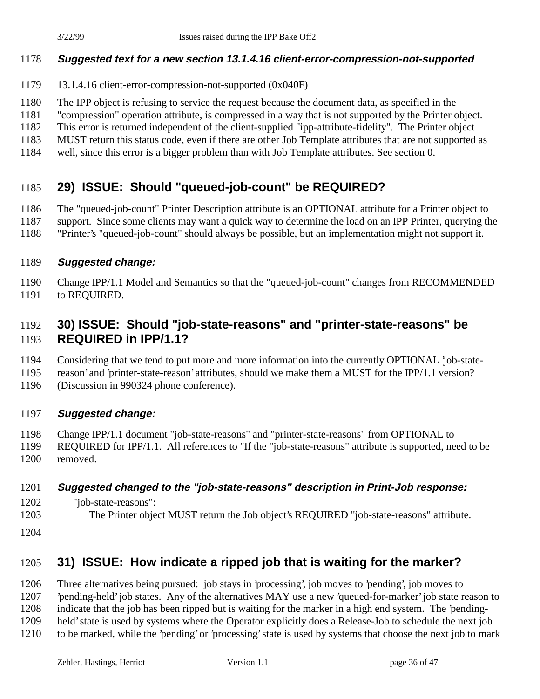#### **Suggested text for a new section 13.1.4.16 client-error-compression-not-supported**

- 13.1.4.16 client-error-compression-not-supported (0x040F)
- The IPP object is refusing to service the request because the document data, as specified in the
- "compression" operation attribute, is compressed in a way that is not supported by the Printer object.
- This error is returned independent of the client-supplied "ipp-attribute-fidelity". The Printer object
- MUST return this status code, even if there are other Job Template attributes that are not supported as
- well, since this error is a bigger problem than with Job Template attributes. See section 0.

## **29) ISSUE: Should "queued-job-count" be REQUIRED?**

- The "queued-job-count" Printer Description attribute is an OPTIONAL attribute for a Printer object to
- support. Since some clients may want a quick way to determine the load on an IPP Printer, querying the
- "Printer's "queued-job-count" should always be possible, but an implementation might not support it.

### **Suggested change:**

 Change IPP/1.1 Model and Semantics so that the "queued-job-count" changes from RECOMMENDED 1191 to REQUIRED.

## **30) ISSUE: Should "job-state-reasons" and "printer-state-reasons" be REQUIRED in IPP/1.1?**

- Considering that we tend to put more and more information into the currently OPTIONAL 'job-state-
- reason' and 'printer-state-reason' attributes, should we make them a MUST for the IPP/1.1 version?
- (Discussion in 990324 phone conference).

### **Suggested change:**

- Change IPP/1.1 document "job-state-reasons" and "printer-state-reasons" from OPTIONAL to
- REQUIRED for IPP/1.1. All references to "If the "job-state-reasons" attribute is supported, need to be removed.

### **Suggested changed to the "job-state-reasons" description in Print-Job response:**

- "job-state-reasons":
- The Printer object MUST return the Job object's REQUIRED "job-state-reasons" attribute.
- 

## **31) ISSUE: How indicate a ripped job that is waiting for the marker?**

Three alternatives being pursued: job stays in 'processing', job moves to 'pending', job moves to

'pending-held' job states. Any of the alternatives MAY use a new 'queued-for-marker' job state reason to

- indicate that the job has been ripped but is waiting for the marker in a high end system. The 'pending-
- held' state is used by systems where the Operator explicitly does a Release-Job to schedule the next job
- to be marked, while the 'pending' or 'processing' state is used by systems that choose the next job to mark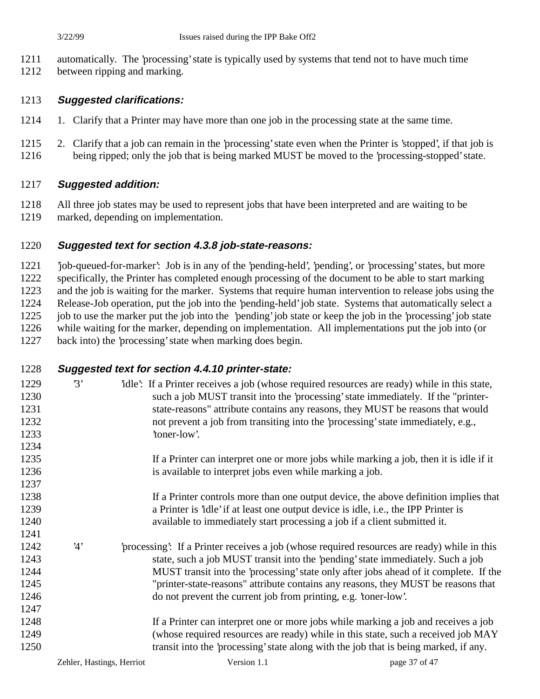- automatically. The 'processing' state is typically used by systems that tend not to have much time
- between ripping and marking.

#### **Suggested clarifications:**

- 1. Clarify that a Printer may have more than one job in the processing state at the same time.
- 2. Clarify that a job can remain in the 'processing' state even when the Printer is 'stopped', if that job is being ripped; only the job that is being marked MUST be moved to the 'processing-stopped' state.

#### **Suggested addition:**

 All three job states may be used to represent jobs that have been interpreted and are waiting to be marked, depending on implementation.

#### **Suggested text for section 4.3.8 job-state-reasons:**

 'job-queued-for-marker': Job is in any of the 'pending-held', 'pending', or 'processing' states, but more specifically, the Printer has completed enough processing of the document to be able to start marking and the job is waiting for the marker. Systems that require human intervention to release jobs using the Release-Job operation, put the job into the 'pending-held' job state. Systems that automatically select a job to use the marker put the job into the 'pending' job state or keep the job in the 'processing' job state while waiting for the marker, depending on implementation. All implementations put the job into (or back into) the 'processing' state when marking does begin.

| 1228         |    | Suggested text for section 4.4.10 printer-state:                                                                                                                                  |
|--------------|----|-----------------------------------------------------------------------------------------------------------------------------------------------------------------------------------|
| 1229<br>1230 | 3' | idle': If a Printer receives a job (whose required resources are ready) while in this state,<br>such a job MUST transit into the 'processing' state immediately. If the "printer- |
| 1231         |    | state-reasons" attribute contains any reasons, they MUST be reasons that would                                                                                                    |
| 1232         |    | not prevent a job from transiting into the 'processing' state immediately, e.g.,                                                                                                  |
| 1233         |    | 'toner-low'.                                                                                                                                                                      |
| 1234         |    |                                                                                                                                                                                   |
| 1235         |    | If a Printer can interpret one or more jobs while marking a job, then it is idle if it                                                                                            |
| 1236         |    | is available to interpret jobs even while marking a job.                                                                                                                          |
| 1237         |    |                                                                                                                                                                                   |
| 1238         |    | If a Printer controls more than one output device, the above definition implies that                                                                                              |
| 1239         |    | a Printer is 'idle' if at least one output device is idle, i.e., the IPP Printer is                                                                                               |
| 1240         |    | available to immediately start processing a job if a client submitted it.                                                                                                         |
| 1241         |    |                                                                                                                                                                                   |
| 1242         | 4' | 'processing': If a Printer receives a job (whose required resources are ready) while in this                                                                                      |
| 1243         |    | state, such a job MUST transit into the 'pending' state immediately. Such a job                                                                                                   |
| 1244         |    | MUST transit into the 'processing' state only after jobs ahead of it complete. If the                                                                                             |
| 1245         |    | "printer-state-reasons" attribute contains any reasons, they MUST be reasons that                                                                                                 |
| 1246         |    | do not prevent the current job from printing, e.g. 'toner-low'.                                                                                                                   |
| 1247         |    |                                                                                                                                                                                   |
| 1248         |    | If a Printer can interpret one or more jobs while marking a job and receives a job                                                                                                |
| 1249         |    | (whose required resources are ready) while in this state, such a received job MAY                                                                                                 |
| 1250         |    | transit into the 'processing' state along with the job that is being marked, if any.                                                                                              |
|              |    |                                                                                                                                                                                   |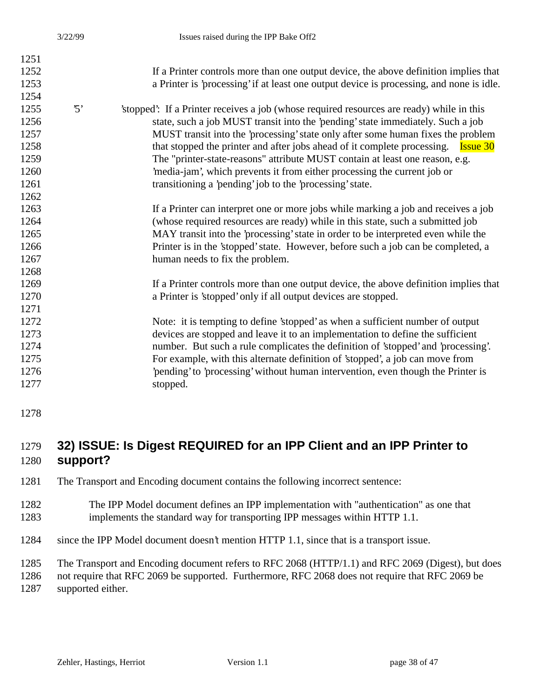| 1251 |            |                                                                                             |
|------|------------|---------------------------------------------------------------------------------------------|
| 1252 |            | If a Printer controls more than one output device, the above definition implies that        |
| 1253 |            | a Printer is 'processing' if at least one output device is processing, and none is idle.    |
| 1254 |            |                                                                                             |
| 1255 | $\cdot$ 5' | 'stopped': If a Printer receives a job (whose required resources are ready) while in this   |
| 1256 |            | state, such a job MUST transit into the 'pending' state immediately. Such a job             |
| 1257 |            | MUST transit into the 'processing' state only after some human fixes the problem            |
| 1258 |            | that stopped the printer and after jobs ahead of it complete processing.<br><b>Issue 30</b> |
| 1259 |            | The "printer-state-reasons" attribute MUST contain at least one reason, e.g.                |
| 1260 |            | media-jam', which prevents it from either processing the current job or                     |
| 1261 |            | transitioning a 'pending' job to the 'processing' state.                                    |
| 1262 |            |                                                                                             |
| 1263 |            | If a Printer can interpret one or more jobs while marking a job and receives a job          |
| 1264 |            | (whose required resources are ready) while in this state, such a submitted job              |
| 1265 |            | MAY transit into the 'processing' state in order to be interpreted even while the           |
| 1266 |            | Printer is in the 'stopped' state. However, before such a job can be completed, a           |
| 1267 |            | human needs to fix the problem.                                                             |
| 1268 |            |                                                                                             |
| 1269 |            | If a Printer controls more than one output device, the above definition implies that        |
| 1270 |            | a Printer is 'stopped' only if all output devices are stopped.                              |
| 1271 |            |                                                                                             |
| 1272 |            | Note: it is tempting to define 'stopped' as when a sufficient number of output              |
| 1273 |            | devices are stopped and leave it to an implementation to define the sufficient              |
| 1274 |            | number. But such a rule complicates the definition of 'stopped' and 'processing'.           |
| 1275 |            | For example, with this alternate definition of 'stopped', a job can move from               |
| 1276 |            | 'pending' to 'processing' without human intervention, even though the Printer is            |
| 1277 |            | stopped.                                                                                    |
|      |            |                                                                                             |

## **32) ISSUE: Is Digest REQUIRED for an IPP Client and an IPP Printer to support?**

- The Transport and Encoding document contains the following incorrect sentence:
- The IPP Model document defines an IPP implementation with "authentication" as one that implements the standard way for transporting IPP messages within HTTP 1.1.
- since the IPP Model document doesn't mention HTTP 1.1, since that is a transport issue.

The Transport and Encoding document refers to RFC 2068 (HTTP/1.1) and RFC 2069 (Digest), but does

 not require that RFC 2069 be supported. Furthermore, RFC 2068 does not require that RFC 2069 be supported either.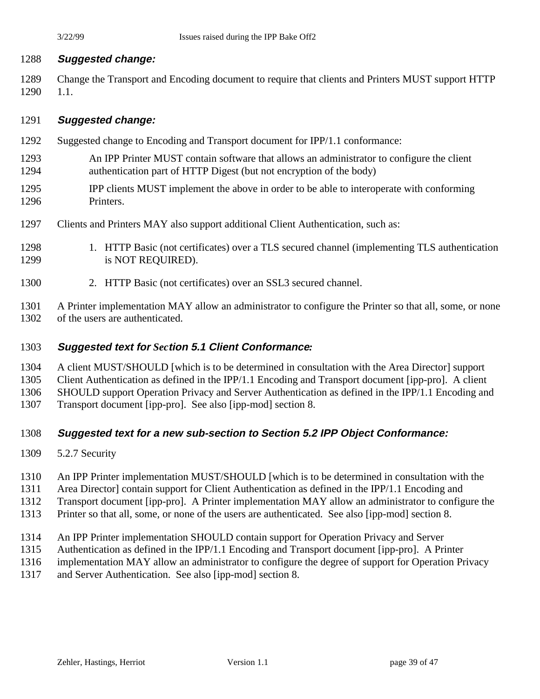#### **Suggested change:**

 Change the Transport and Encoding document to require that clients and Printers MUST support HTTP 1.1.

#### **Suggested change:**

- Suggested change to Encoding and Transport document for IPP/1.1 conformance:
- An IPP Printer MUST contain software that allows an administrator to configure the client authentication part of HTTP Digest (but not encryption of the body)
- IPP clients MUST implement the above in order to be able to interoperate with conforming Printers.
- Clients and Printers MAY also support additional Client Authentication, such as:
- 1298 1. HTTP Basic (not certificates) over a TLS secured channel (implementing TLS authentication 1299 is NOT REQUIRED).
- 2. HTTP Basic (not certificates) over an SSL3 secured channel.

 A Printer implementation MAY allow an administrator to configure the Printer so that all, some, or none of the users are authenticated.

- **Suggested text for** *Sec***tion 5.1 Client Conformance***:*
- A client MUST/SHOULD [which is to be determined in consultation with the Area Director] support

Client Authentication as defined in the IPP/1.1 Encoding and Transport document [ipp-pro]. A client

SHOULD support Operation Privacy and Server Authentication as defined in the IPP/1.1 Encoding and

Transport document [ipp-pro]. See also [ipp-mod] section 8.

#### **Suggested text for a new sub-section to Section 5.2 IPP Object Conformance:**

- 5.2.7 Security
- An IPP Printer implementation MUST/SHOULD [which is to be determined in consultation with the
- Area Director] contain support for Client Authentication as defined in the IPP/1.1 Encoding and
- Transport document [ipp-pro]. A Printer implementation MAY allow an administrator to configure the
- Printer so that all, some, or none of the users are authenticated. See also [ipp-mod] section 8.
- An IPP Printer implementation SHOULD contain support for Operation Privacy and Server
- Authentication as defined in the IPP/1.1 Encoding and Transport document [ipp-pro]. A Printer
- implementation MAY allow an administrator to configure the degree of support for Operation Privacy
- and Server Authentication. See also [ipp-mod] section 8.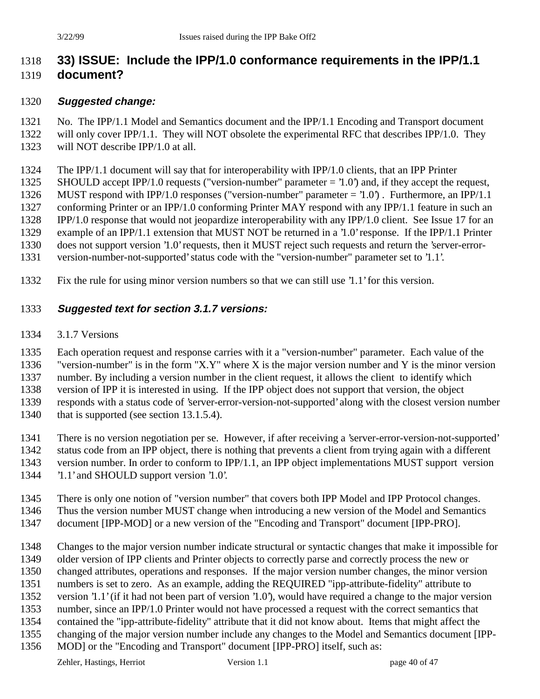### **33) ISSUE: Include the IPP/1.0 conformance requirements in the IPP/1.1 document?**

#### **Suggested change:**

No. The IPP/1.1 Model and Semantics document and the IPP/1.1 Encoding and Transport document

- 1322 will only cover IPP/1.1. They will NOT obsolete the experimental RFC that describes IPP/1.0. They will NOT describe IPP/1.0 at all.
- The IPP/1.1 document will say that for interoperability with IPP/1.0 clients, that an IPP Printer
- SHOULD accept IPP/1.0 requests ("version-number" parameter = '1.0') and, if they accept the request,
- MUST respond with IPP/1.0 responses ("version-number" parameter = '1.0') . Furthermore, an IPP/1.1
- conforming Printer or an IPP/1.0 conforming Printer MAY respond with any IPP/1.1 feature in such an
- IPP/1.0 response that would not jeopardize interoperability with any IPP/1.0 client. See Issue 17 for an
- example of an IPP/1.1 extension that MUST NOT be returned in a '1.0' response. If the IPP/1.1 Printer
- does not support version '1.0' requests, then it MUST reject such requests and return the 'server-error-
- version-number-not-supported' status code with the "version-number" parameter set to '1.1'.
- Fix the rule for using minor version numbers so that we can still use '1.1' for this version.

### **Suggested text for section 3.1.7 versions:**

3.1.7 Versions

 Each operation request and response carries with it a "version-number" parameter. Each value of the "version-number" is in the form "X.Y" where X is the major version number and Y is the minor version number. By including a version number in the client request, it allows the client to identify which version of IPP it is interested in using. If the IPP object does not support that version, the object responds with a status code of 'server-error-version-not-supported' along with the closest version number 1340 that is supported (see section 13.1.5.4).

- There is no version negotiation per se. However, if after receiving a 'server-error-version-not-supported'
- status code from an IPP object, there is nothing that prevents a client from trying again with a different
- version number. In order to conform to IPP/1.1, an IPP object implementations MUST support version
- '1.1' and SHOULD support version '1.0'.
- There is only one notion of "version number" that covers both IPP Model and IPP Protocol changes.
- Thus the version number MUST change when introducing a new version of the Model and Semantics
- document [IPP-MOD] or a new version of the "Encoding and Transport" document [IPP-PRO].
- Changes to the major version number indicate structural or syntactic changes that make it impossible for older version of IPP clients and Printer objects to correctly parse and correctly process the new or
- 
- changed attributes, operations and responses. If the major version number changes, the minor version numbers is set to zero. As an example, adding the REQUIRED "ipp-attribute-fidelity" attribute to
- version '1.1' (if it had not been part of version '1.0'), would have required a change to the major version
- number, since an IPP/1.0 Printer would not have processed a request with the correct semantics that
- 
- contained the "ipp-attribute-fidelity" attribute that it did not know about. Items that might affect the changing of the major version number include any changes to the Model and Semantics document [IPP-
- MOD] or the "Encoding and Transport" document [IPP-PRO] itself, such as: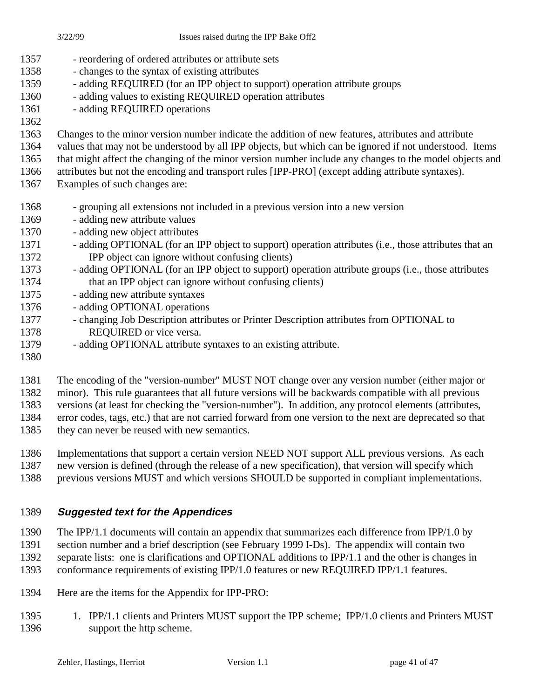- reordering of ordered attributes or attribute sets - changes to the syntax of existing attributes 1359 - adding REQUIRED (for an IPP object to support) operation attribute groups - adding values to existing REQUIRED operation attributes - adding REQUIRED operations Changes to the minor version number indicate the addition of new features, attributes and attribute values that may not be understood by all IPP objects, but which can be ignored if not understood. Items that might affect the changing of the minor version number include any changes to the model objects and attributes but not the encoding and transport rules [IPP-PRO] (except adding attribute syntaxes). Examples of such changes are: - grouping all extensions not included in a previous version into a new version - adding new attribute values - adding new object attributes 1371 - adding OPTIONAL (for an IPP object to support) operation attributes (i.e., those attributes that an IPP object can ignore without confusing clients) 1373 - adding OPTIONAL (for an IPP object to support) operation attribute groups (i.e., those attributes that an IPP object can ignore without confusing clients) - adding new attribute syntaxes - adding OPTIONAL operations 1377 - changing Job Description attributes or Printer Description attributes from OPTIONAL to 1378 REQUIRED or vice versa.
- 1379 adding OPTIONAL attribute syntaxes to an existing attribute.
- 

 The encoding of the "version-number" MUST NOT change over any version number (either major or minor). This rule guarantees that all future versions will be backwards compatible with all previous versions (at least for checking the "version-number"). In addition, any protocol elements (attributes, error codes, tags, etc.) that are not carried forward from one version to the next are deprecated so that

they can never be reused with new semantics.

 Implementations that support a certain version NEED NOT support ALL previous versions. As each new version is defined (through the release of a new specification), that version will specify which

previous versions MUST and which versions SHOULD be supported in compliant implementations.

### **Suggested text for the Appendices**

 The IPP/1.1 documents will contain an appendix that summarizes each difference from IPP/1.0 by section number and a brief description (see February 1999 I-Ds). The appendix will contain two separate lists: one is clarifications and OPTIONAL additions to IPP/1.1 and the other is changes in conformance requirements of existing IPP/1.0 features or new REQUIRED IPP/1.1 features.

- Here are the items for the Appendix for IPP-PRO:
- 1395 1. IPP/1.1 clients and Printers MUST support the IPP scheme; IPP/1.0 clients and Printers MUST 1396 support the http scheme.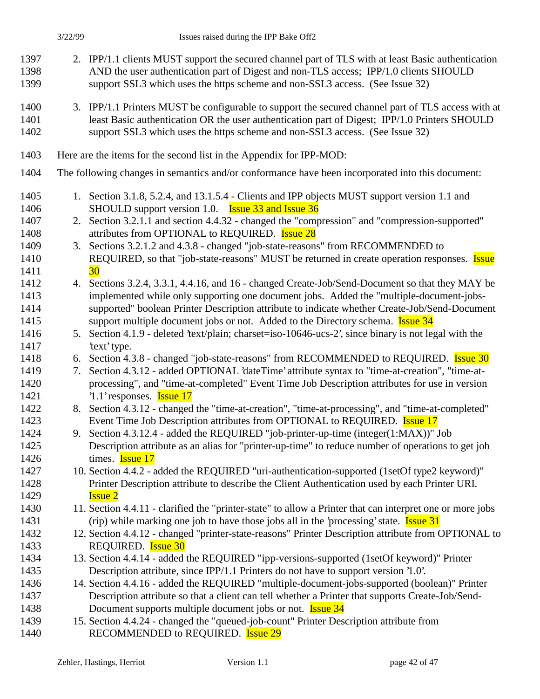| 1397<br>1398<br>1399 | 2. IPP/1.1 clients MUST support the secured channel part of TLS with at least Basic authentication<br>AND the user authentication part of Digest and non-TLS access; IPP/1.0 clients SHOULD<br>support SSL3 which uses the https scheme and non-SSL3 access. (See Issue 32)         |  |
|----------------------|-------------------------------------------------------------------------------------------------------------------------------------------------------------------------------------------------------------------------------------------------------------------------------------|--|
| 1400<br>1401<br>1402 | 3. IPP/1.1 Printers MUST be configurable to support the secured channel part of TLS access with at<br>least Basic authentication OR the user authentication part of Digest; IPP/1.0 Printers SHOULD<br>support SSL3 which uses the https scheme and non-SSL3 access. (See Issue 32) |  |
| 1403                 | Here are the items for the second list in the Appendix for IPP-MOD:                                                                                                                                                                                                                 |  |
| 1404                 | The following changes in semantics and/or conformance have been incorporated into this document:                                                                                                                                                                                    |  |
| 1405<br>1406         | 1. Section 3.1.8, 5.2.4, and 13.1.5.4 - Clients and IPP objects MUST support version 1.1 and<br>SHOULD support version 1.0. <b>Issue 33 and Issue 36</b>                                                                                                                            |  |
| 1407<br>1408         | 2. Section 3.2.1.1 and section 4.4.32 - changed the "compression" and "compression-supported"<br>attributes from OPTIONAL to REQUIRED. <b>Issue 28</b>                                                                                                                              |  |
| 1409                 | Sections 3.2.1.2 and 4.3.8 - changed "job-state-reasons" from RECOMMENDED to<br>3.                                                                                                                                                                                                  |  |
| 1410<br>1411         | REQUIRED, so that "job-state-reasons" MUST be returned in create operation responses. Issue<br>30                                                                                                                                                                                   |  |
| 1412<br>1413         | 4. Sections 3.2.4, 3.3.1, 4.4.16, and 16 - changed Create-Job/Send-Document so that they MAY be                                                                                                                                                                                     |  |
| 1414                 | implemented while only supporting one document jobs. Added the "multiple-document-jobs-<br>supported" boolean Printer Description attribute to indicate whether Create-Job/Send-Document                                                                                            |  |
| 1415<br>1416         | support multiple document jobs or not. Added to the Directory schema. <b>Issue 34</b><br>5. Section 4.1.9 - deleted 'text/plain; charset=iso-10646-ucs-2', since binary is not legal with the                                                                                       |  |
| 1417                 | 'text' type.                                                                                                                                                                                                                                                                        |  |
| 1418<br>1419         | Section 4.3.8 - changed "job-state-reasons" from RECOMMENDED to REQUIRED. Issue 30<br>6.<br>Section 4.3.12 - added OPTIONAL 'dateTime' attribute syntax to "time-at-creation", "time-at-<br>7.                                                                                      |  |
| 1420<br>1421         | processing", and "time-at-completed" Event Time Job Description attributes for use in version<br>'1.1' responses. <b>Issue 17</b>                                                                                                                                                   |  |
| 1422                 | 8. Section 4.3.12 - changed the "time-at-creation", "time-at-processing", and "time-at-completed"                                                                                                                                                                                   |  |
| 1423<br>1424         | Event Time Job Description attributes from OPTIONAL to REQUIRED. <b>Issue 17</b><br>9. Section 4.3.12.4 - added the REQUIRED "job-printer-up-time (integer(1:MAX))" Job                                                                                                             |  |
| 1425<br>1426         | Description attribute as an alias for "printer-up-time" to reduce number of operations to get job<br>times. <b>Issue 17</b>                                                                                                                                                         |  |
| 1427                 | 10. Section 4.4.2 - added the REQUIRED "uri-authentication-supported (1setOf type2 keyword)"                                                                                                                                                                                        |  |
| 1428<br>1429         | Printer Description attribute to describe the Client Authentication used by each Printer URI.<br><b>Issue 2</b>                                                                                                                                                                     |  |
| 1430<br>1431         | 11. Section 4.4.11 - clarified the "printer-state" to allow a Printer that can interpret one or more jobs<br>(rip) while marking one job to have those jobs all in the 'processing' state. <b>Issue 31</b>                                                                          |  |
| 1432                 | 12. Section 4.4.12 - changed "printer-state-reasons" Printer Description attribute from OPTIONAL to                                                                                                                                                                                 |  |
| 1433<br>1434         | REQUIRED. <b>Issue 30</b><br>13. Section 4.4.14 - added the REQUIRED "ipp-versions-supported (1setOf keyword)" Printer                                                                                                                                                              |  |
| 1435                 | Description attribute, since IPP/1.1 Printers do not have to support version '1.0'.                                                                                                                                                                                                 |  |
| 1436<br>1437         | 14. Section 4.4.16 - added the REQUIRED "multiple-document-jobs-supported (boolean)" Printer<br>Description attribute so that a client can tell whether a Printer that supports Create-Job/Send-                                                                                    |  |
| 1438<br>1439         | Document supports multiple document jobs or not. <b>Issue 34</b><br>15. Section 4.4.24 - changed the "queued-job-count" Printer Description attribute from                                                                                                                          |  |
| 1440                 | RECOMMENDED to REQUIRED. Issue 29                                                                                                                                                                                                                                                   |  |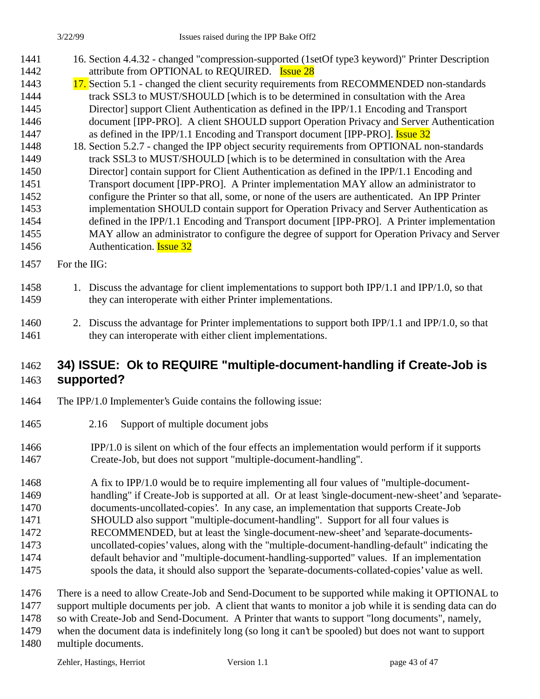- 16. Section 4.4.32 changed "compression-supported (1setOf type3 keyword)" Printer Description 1442 attribute from OPTIONAL to REQUIRED. **Issue 28**
- 1443 17. Section 5.1 changed the client security requirements from RECOMMENDED non-standards 1444 track SSL3 to MUST/SHOULD [which is to be determined in consultation with the Area Director] support Client Authentication as defined in the IPP/1.1 Encoding and Transport document [IPP-PRO]. A client SHOULD support Operation Privacy and Server Authentication 1447 as defined in the IPP/1.1 Encoding and Transport document [IPP-PRO]. **Issue 32**
- 18. Section 5.2.7 changed the IPP object security requirements from OPTIONAL non-standards 1449 track SSL3 to MUST/SHOULD [which is to be determined in consultation with the Area Director] contain support for Client Authentication as defined in the IPP/1.1 Encoding and Transport document [IPP-PRO]. A Printer implementation MAY allow an administrator to configure the Printer so that all, some, or none of the users are authenticated. An IPP Printer implementation SHOULD contain support for Operation Privacy and Server Authentication as defined in the IPP/1.1 Encoding and Transport document [IPP-PRO]. A Printer implementation MAY allow an administrator to configure the degree of support for Operation Privacy and Server 1456 Authentication. **Issue 32**
- For the IIG:
- 1. Discuss the advantage for client implementations to support both IPP/1.1 and IPP/1.0, so that 1459 they can interoperate with either Printer implementations.
- 2. Discuss the advantage for Printer implementations to support both IPP/1.1 and IPP/1.0, so that 1461 they can interoperate with either client implementations.

## **34) ISSUE: Ok to REQUIRE "multiple-document-handling if Create-Job is supported?**

- The IPP/1.0 Implementer's Guide contains the following issue:
- 2.16 Support of multiple document jobs
- IPP/1.0 is silent on which of the four effects an implementation would perform if it supports Create-Job, but does not support "multiple-document-handling".

 A fix to IPP/1.0 would be to require implementing all four values of "multiple-document- handling" if Create-Job is supported at all. Or at least 'single-document-new-sheet' and 'separate- documents-uncollated-copies'. In any case, an implementation that supports Create-Job 1471 SHOULD also support "multiple-document-handling". Support for all four values is RECOMMENDED, but at least the 'single-document-new-sheet' and 'separate-documents- uncollated-copies' values, along with the "multiple-document-handling-default" indicating the default behavior and "multiple-document-handling-supported" values. If an implementation spools the data, it should also support the 'separate-documents-collated-copies' value as well.

There is a need to allow Create-Job and Send-Document to be supported while making it OPTIONAL to

 support multiple documents per job. A client that wants to monitor a job while it is sending data can do so with Create-Job and Send-Document. A Printer that wants to support "long documents", namely,

when the document data is indefinitely long (so long it can't be spooled) but does not want to support

multiple documents.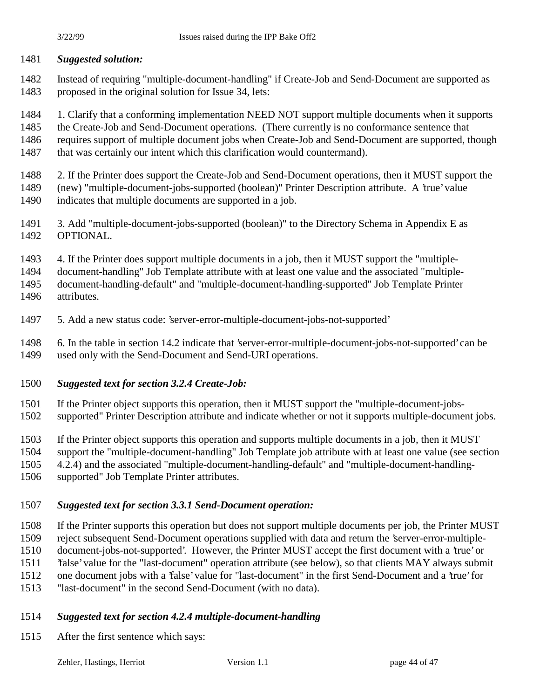#### *Suggested solution:*

 Instead of requiring "multiple-document-handling" if Create-Job and Send-Document are supported as proposed in the original solution for Issue 34, lets:

1. Clarify that a conforming implementation NEED NOT support multiple documents when it supports

- the Create-Job and Send-Document operations. (There currently is no conformance sentence that
- requires support of multiple document jobs when Create-Job and Send-Document are supported, though
- 1487 that was certainly our intent which this clarification would countermand).
- 2. If the Printer does support the Create-Job and Send-Document operations, then it MUST support the
- (new) "multiple-document-jobs-supported (boolean)" Printer Description attribute. A 'true' value
- indicates that multiple documents are supported in a job.
- 3. Add "multiple-document-jobs-supported (boolean)" to the Directory Schema in Appendix E as OPTIONAL.
- 4. If the Printer does support multiple documents in a job, then it MUST support the "multiple-

document-handling" Job Template attribute with at least one value and the associated "multiple-

document-handling-default" and "multiple-document-handling-supported" Job Template Printer

- attributes.
- 5. Add a new status code: 'server-error-multiple-document-jobs-not-supported'
- 6. In the table in section 14.2 indicate that 'server-error-multiple-document-jobs-not-supported' can be used only with the Send-Document and Send-URI operations.

#### *Suggested text for section 3.2.4 Create-Job:*

- If the Printer object supports this operation, then it MUST support the "multiple-document-jobs-
- supported" Printer Description attribute and indicate whether or not it supports multiple-document jobs.
- If the Printer object supports this operation and supports multiple documents in a job, then it MUST
- support the "multiple-document-handling" Job Template job attribute with at least one value (see section
- 4.2.4) and the associated "multiple-document-handling-default" and "multiple-document-handling-
- supported" Job Template Printer attributes.

#### *Suggested text for section 3.3.1 Send-Document operation:*

 If the Printer supports this operation but does not support multiple documents per job, the Printer MUST reject subsequent Send-Document operations supplied with data and return the 'server-error-multiple-

document-jobs-not-supported'. However, the Printer MUST accept the first document with a 'true' or

'false' value for the "last-document" operation attribute (see below), so that clients MAY always submit

- one document jobs with a 'false' value for "last-document" in the first Send-Document and a 'true' for
- "last-document" in the second Send-Document (with no data).

#### *Suggested text for section 4.2.4 multiple-document-handling*

After the first sentence which says: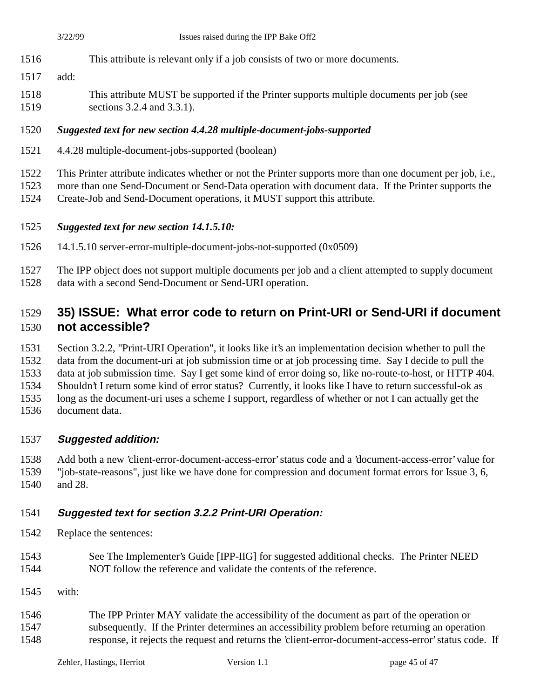This attribute is relevant only if a job consists of two or more documents.

#### add:

 This attribute MUST be supported if the Printer supports multiple documents per job (see sections 3.2.4 and 3.3.1).

#### *Suggested text for new section 4.4.28 multiple-document-jobs-supported*

4.4.28 multiple-document-jobs-supported (boolean)

This Printer attribute indicates whether or not the Printer supports more than one document per job, i.e.,

more than one Send-Document or Send-Data operation with document data. If the Printer supports the

Create-Job and Send-Document operations, it MUST support this attribute.

#### *Suggested text for new section 14.1.5.10:*

- 14.1.5.10 server-error-multiple-document-jobs-not-supported (0x0509)
- The IPP object does not support multiple documents per job and a client attempted to supply document
- data with a second Send-Document or Send-URI operation.

## **35) ISSUE: What error code to return on Print-URI or Send-URI if document not accessible?**

 Section 3.2.2, "Print-URI Operation", it looks like it's an implementation decision whether to pull the data from the document-uri at job submission time or at job processing time. Say I decide to pull the data at job submission time. Say I get some kind of error doing so, like no-route-to-host, or HTTP 404. Shouldn't I return some kind of error status? Currently, it looks like I have to return successful-ok as long as the document-uri uses a scheme I support, regardless of whether or not I can actually get the document data.

### **Suggested addition:**

 Add both a new 'client-error-document-access-error' status code and a 'document-access-error' value for "job-state-reasons", just like we have done for compression and document format errors for Issue 3, 6, and 28.

### **Suggested text for section 3.2.2 Print-URI Operation:**

- Replace the sentences:
- See The Implementer's Guide [IPP-IIG] for suggested additional checks. The Printer NEED NOT follow the reference and validate the contents of the reference.
- with:
- The IPP Printer MAY validate the accessibility of the document as part of the operation or subsequently. If the Printer determines an accessibility problem before returning an operation response, it rejects the request and returns the 'client-error-document-access-error' status code. If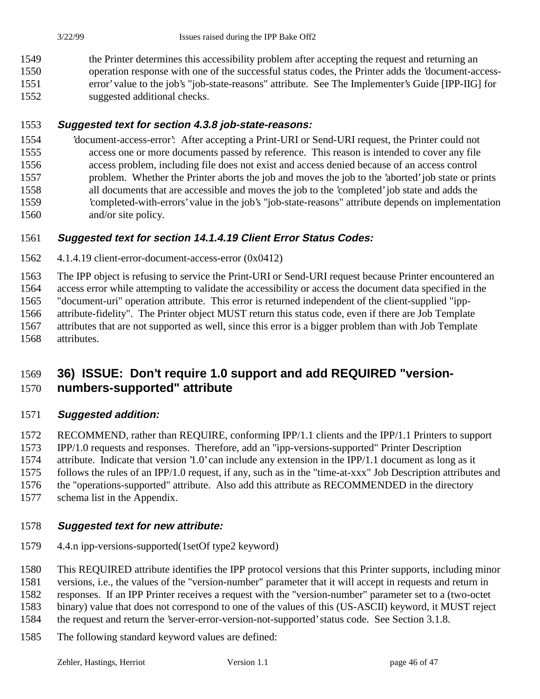the Printer determines this accessibility problem after accepting the request and returning an operation response with one of the successful status codes, the Printer adds the 'document-access- error' value to the job's "job-state-reasons" attribute. See The Implementer's Guide [IPP-IIG] for suggested additional checks.

### **Suggested text for section 4.3.8 job-state-reasons:**

 'document-access-error': After accepting a Print-URI or Send-URI request, the Printer could not access one or more documents passed by reference. This reason is intended to cover any file access problem, including file does not exist and access denied because of an access control problem. Whether the Printer aborts the job and moves the job to the 'aborted' job state or prints all documents that are accessible and moves the job to the 'completed' job state and adds the 'completed-with-errors' value in the job's "job-state-reasons" attribute depends on implementation 1560 and/or site policy.

### **Suggested text for section 14.1.4.19 Client Error Status Codes:**

4.1.4.19 client-error-document-access-error (0x0412)

The IPP object is refusing to service the Print-URI or Send-URI request because Printer encountered an

access error while attempting to validate the accessibility or access the document data specified in the

"document-uri" operation attribute. This error is returned independent of the client-supplied "ipp-

 attribute-fidelity". The Printer object MUST return this status code, even if there are Job Template attributes that are not supported as well, since this error is a bigger problem than with Job Template attributes.

### **36) ISSUE: Don't require 1.0 support and add REQUIRED "version-numbers-supported" attribute**

### **Suggested addition:**

RECOMMEND, rather than REQUIRE, conforming IPP/1.1 clients and the IPP/1.1 Printers to support

IPP/1.0 requests and responses. Therefore, add an "ipp-versions-supported" Printer Description

attribute. Indicate that version '1.0' can include any extension in the IPP/1.1 document as long as it

follows the rules of an IPP/1.0 request, if any, such as in the "time-at-xxx" Job Description attributes and

the "operations-supported" attribute. Also add this attribute as RECOMMENDED in the directory

schema list in the Appendix.

### **Suggested text for new attribute:**

4.4.n ipp-versions-supported(1setOf type2 keyword)

This REQUIRED attribute identifies the IPP protocol versions that this Printer supports, including minor

versions, i.e., the values of the "version-number" parameter that it will accept in requests and return in

responses. If an IPP Printer receives a request with the "version-number" parameter set to a (two-octet

- binary) value that does not correspond to one of the values of this (US-ASCII) keyword, it MUST reject
- the request and return the 'server-error-version-not-supported' status code. See Section 3.1.8.
- The following standard keyword values are defined: